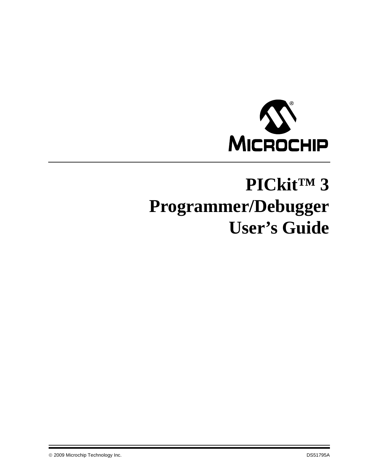

# **PICkit™ 3 Programmer/Debugger User's Guide**

© 2009 Microchip Technology Inc. DS51795A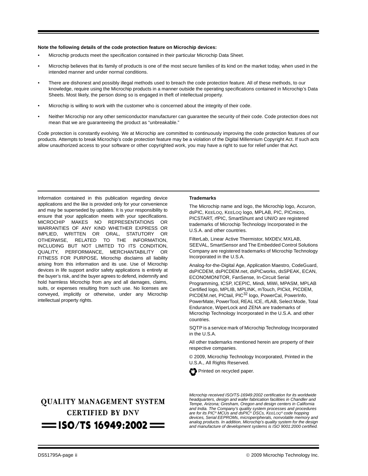#### **Note the following details of the code protection feature on Microchip devices:**

- Microchip products meet the specification contained in their particular Microchip Data Sheet.
- Microchip believes that its family of products is one of the most secure families of its kind on the market today, when used in the intended manner and under normal conditions.
- There are dishonest and possibly illegal methods used to breach the code protection feature. All of these methods, to our knowledge, require using the Microchip products in a manner outside the operating specifications contained in Microchip's Data Sheets. Most likely, the person doing so is engaged in theft of intellectual property.
- Microchip is willing to work with the customer who is concerned about the integrity of their code.
- Neither Microchip nor any other semiconductor manufacturer can guarantee the security of their code. Code protection does not mean that we are guaranteeing the product as "unbreakable."

Code protection is constantly evolving. We at Microchip are committed to continuously improving the code protection features of our products. Attempts to break Microchip's code protection feature may be a violation of the Digital Millennium Copyright Act. If such acts allow unauthorized access to your software or other copyrighted work, you may have a right to sue for relief under that Act.

Information contained in this publication regarding device applications and the like is provided only for your convenience and may be superseded by updates. It is your responsibility to ensure that your application meets with your specifications. MICROCHIP MAKES NO REPRESENTATIONS OR WARRANTIES OF ANY KIND WHETHER EXPRESS OR IMPLIED, WRITTEN OR ORAL, STATUTORY OR OTHERWISE, RELATED TO THE INFORMATION, INCLUDING BUT NOT LIMITED TO ITS CONDITION, QUALITY, PERFORMANCE, MERCHANTABILITY OR FITNESS FOR PURPOSE**.** Microchip disclaims all liability arising from this information and its use. Use of Microchip devices in life support and/or safety applications is entirely at the buyer's risk, and the buyer agrees to defend, indemnify and hold harmless Microchip from any and all damages, claims, suits, or expenses resulting from such use. No licenses are conveyed, implicitly or otherwise, under any Microchip intellectual property rights.

## **QUALITY MANAGEMENT SYSTEM CERTIFIED BY DNV**  $=$  ISO/TS 16949:2002  $=$

#### **Trademarks**

The Microchip name and logo, the Microchip logo, Accuron, dsPIC, KEELOQ, KEELOQ logo, MPLAB, PIC, PICmicro, PICSTART, rfPIC, SmartShunt and UNI/O are registered trademarks of Microchip Technology Incorporated in the U.S.A. and other countries.

FilterLab, Linear Active Thermistor, MXDEV, MXLAB, SEEVAL, SmartSensor and The Embedded Control Solutions Company are registered trademarks of Microchip Technology Incorporated in the U.S.A.

Analog-for-the-Digital Age, Application Maestro, CodeGuard, dsPICDEM, dsPICDEM.net, dsPICworks, dsSPEAK, ECAN, ECONOMONITOR, FanSense, In-Circuit Serial Programming, ICSP, ICEPIC, Mindi, MiWi, MPASM, MPLAB Certified logo, MPLIB, MPLINK, mTouch, PICkit, PICDEM, PICDEM.net, PICtail, PIC<sup>32</sup> logo, PowerCal, PowerInfo, PowerMate, PowerTool, REAL ICE, rfLAB, Select Mode, Total Endurance, WiperLock and ZENA are trademarks of Microchip Technology Incorporated in the U.S.A. and other countries.

SQTP is a service mark of Microchip Technology Incorporated in the U.S.A.

All other trademarks mentioned herein are property of their respective companies.

© 2009, Microchip Technology Incorporated, Printed in the U.S.A., All Rights Reserved.



*Microchip received ISO/TS-16949:2002 certification for its worldwide headquarters, design and wafer fabrication facilities in Chandler and Tempe, Arizona; Gresham, Oregon and design centers in California and India. The Company's quality system processes and procedures are for its PIC® MCUs and dsPIC® DSCs, KEELOQ® code hopping devices, Serial EEPROMs, microperipherals, nonvolatile memory and analog products. In addition, Microchip's quality system for the design and manufacture of development systems is ISO 9001:2000 certified.*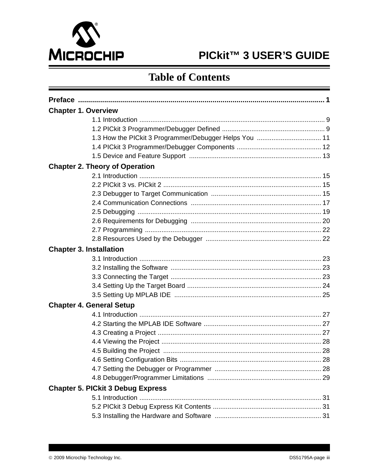

## PICkit™ 3 USER'S GUIDE

## **Table of Contents**

| <b>Chapter 1. Overview</b>               |  |
|------------------------------------------|--|
|                                          |  |
|                                          |  |
|                                          |  |
|                                          |  |
|                                          |  |
| <b>Chapter 2. Theory of Operation</b>    |  |
|                                          |  |
|                                          |  |
|                                          |  |
|                                          |  |
|                                          |  |
|                                          |  |
|                                          |  |
|                                          |  |
| <b>Chapter 3. Installation</b>           |  |
|                                          |  |
|                                          |  |
|                                          |  |
|                                          |  |
|                                          |  |
| <b>Chapter 4. General Setup</b>          |  |
|                                          |  |
|                                          |  |
|                                          |  |
|                                          |  |
|                                          |  |
|                                          |  |
|                                          |  |
|                                          |  |
| <b>Chapter 5. PICkit 3 Debug Express</b> |  |
|                                          |  |
|                                          |  |
|                                          |  |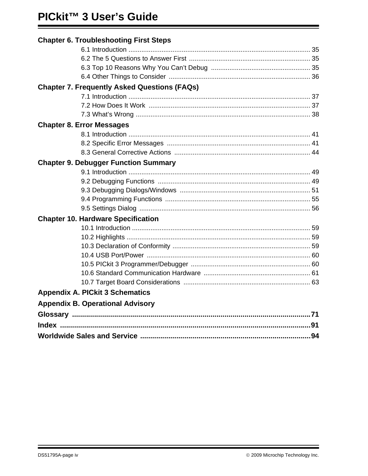| <b>Chapter 6. Troubleshooting First Steps</b>       |  |
|-----------------------------------------------------|--|
|                                                     |  |
|                                                     |  |
|                                                     |  |
|                                                     |  |
| <b>Chapter 7. Frequently Asked Questions (FAQs)</b> |  |
|                                                     |  |
|                                                     |  |
|                                                     |  |
| <b>Chapter 8. Error Messages</b>                    |  |
|                                                     |  |
|                                                     |  |
|                                                     |  |
| <b>Chapter 9. Debugger Function Summary</b>         |  |
|                                                     |  |
|                                                     |  |
|                                                     |  |
|                                                     |  |
|                                                     |  |
| <b>Chapter 10. Hardware Specification</b>           |  |
|                                                     |  |
|                                                     |  |
|                                                     |  |
|                                                     |  |
|                                                     |  |
|                                                     |  |
|                                                     |  |
| <b>Appendix A. PICkit 3 Schematics</b>              |  |
| <b>Appendix B. Operational Advisory</b>             |  |
|                                                     |  |
|                                                     |  |
|                                                     |  |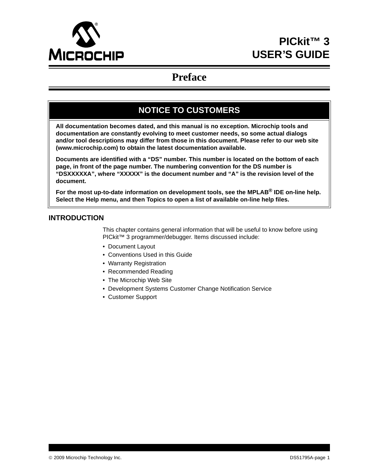<span id="page-4-0"></span>

## **Preface**

## **NOTICE TO CUSTOMERS**

**All documentation becomes dated, and this manual is no exception. Microchip tools and documentation are constantly evolving to meet customer needs, so some actual dialogs and/or tool descriptions may differ from those in this document. Please refer to our web site (www.microchip.com) to obtain the latest documentation available.**

**Documents are identified with a "DS" number. This number is located on the bottom of each page, in front of the page number. The numbering convention for the DS number is "DSXXXXXA", where "XXXXX" is the document number and "A" is the revision level of the document.**

**For the most up-to-date information on development tools, see the MPLAB® IDE on-line help. Select the Help menu, and then Topics to open a list of available on-line help files.**

## **INTRODUCTION**

This chapter contains general information that will be useful to know before using PICkit™ 3 programmer/debugger. Items discussed include:

- • [Document Layout](#page-5-0)
- • [Conventions Used in this Guide](#page-6-0)
- • [Warranty Registration](#page-7-1)
- • [Recommended Reading](#page-7-0)
- • [The Microchip Web Site](#page-8-0)
- • [Development Systems Customer Change Notification Service](#page-8-1)
- • [Customer Support](#page-9-0)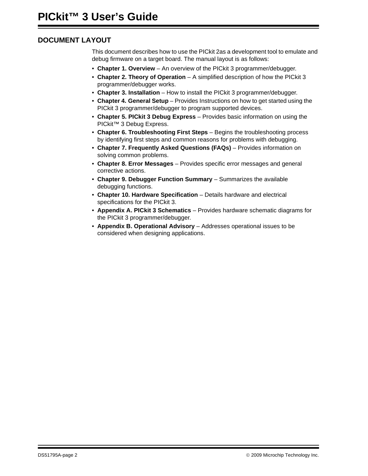## <span id="page-5-0"></span>**DOCUMENT LAYOUT**

This document describes how to use the PICkit 2as a development tool to emulate and debug firmware on a target board. The manual layout is as follows:

- **[Chapter 1. Overview](#page-12-3)** An overview of the PICkit 3 programmer/debugger.
- **[Chapter 2. Theory of Operation](#page-18-4)** A simplified description of how the PICkit 3 programmer/debugger works.
- **[Chapter 3. Installation](#page-26-4)** How to install the PICkit 3 programmer/debugger.
- **[Chapter 4. General Setup](#page-30-4)** Provides Instructions on how to get started using the PICkit 3 programmer/debugger to program supported devices.
- **[Chapter 5. PICkit 3 Debug Express](#page-34-4)** Provides basic information on using the PICkit™ 3 Debug Express.
- **[Chapter 6. Troubleshooting First Steps](#page-38-4)** Begins the troubleshooting process by identifying first steps and common reasons for problems with debugging.
- **[Chapter 7. Frequently Asked Questions \(FAQs\)](#page-40-3)** Provides information on solving common problems.
- **[Chapter 8. Error Messages](#page-44-3)** Provides specific error messages and general corrective actions.
- **[Chapter 9. Debugger Function Summary](#page-52-3)** Summarizes the available debugging functions.
- **[Chapter 10. Hardware Specification](#page-62-4)** Details hardware and electrical specifications for the PICkit 3.
- **[Appendix A. PICkit 3 Schematics](#page-68-1)** Provides hardware schematic diagrams for the PICkit 3 programmer/debugger.
- **[Appendix B. Operational Advisory](#page-70-1)** Addresses operational issues to be considered when designing applications.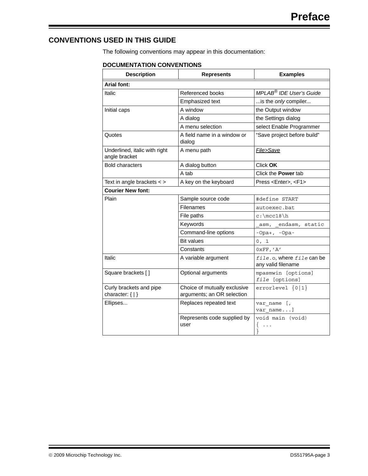## <span id="page-6-0"></span>**CONVENTIONS USED IN THIS GUIDE**

The following conventions may appear in this documentation:

### **DOCUMENTATION CONVENTIONS**

| <b>Description</b>                             | <b>Represents</b>                     | <b>Examples</b>                                 |  |
|------------------------------------------------|---------------------------------------|-------------------------------------------------|--|
| <b>Arial font:</b>                             |                                       |                                                 |  |
| Italic                                         | Referenced books                      | MPLAB <sup>®</sup> IDE User's Guide             |  |
|                                                | Emphasized text                       | is the only compiler                            |  |
| Initial caps                                   | A window                              | the Output window                               |  |
|                                                | A dialog                              | the Settings dialog                             |  |
|                                                | A menu selection                      | select Enable Programmer                        |  |
| Quotes                                         | A field name in a window or<br>dialog | "Save project before build"                     |  |
| Underlined, italic with right<br>angle bracket | A menu path                           | File>Save                                       |  |
| <b>Bold characters</b>                         | A dialog button                       | Click OK                                        |  |
|                                                | A tab                                 | Click the <b>Power</b> tab                      |  |
| Text in angle brackets $\lt$ >                 | A key on the keyboard                 | Press <enter>, <f1></f1></enter>                |  |
| <b>Courier New font:</b>                       |                                       |                                                 |  |
| Plain                                          | Sample source code                    | #define START                                   |  |
|                                                | Filenames                             | autoexec.bat                                    |  |
|                                                | File paths                            | $c:\mbox{\texttt{C18}}$                         |  |
|                                                | Keywords                              | asm, endasm, static                             |  |
|                                                | Command-line options                  | $-Opa+, -Opa-$                                  |  |
|                                                | <b>Bit values</b>                     | $0, 1$                                          |  |
|                                                | Constants                             | $0xFF, 'A'$                                     |  |
| Italic                                         | A variable argument                   | file.o, where file can be<br>any valid filename |  |
| Square brackets []                             | Optional arguments                    | mpasmwin [options]<br>file [options]            |  |
| Curly brackets and pipe                        | Choice of mutually exclusive          | errorlevel $\{0 1\}$                            |  |
| character: $\{   \}$                           | arguments; an OR selection            |                                                 |  |
| Ellipses                                       | Replaces repeated text                | var name [,<br>var name]                        |  |
|                                                | Represents code supplied by<br>user   | void main (void)<br>$\cdots$<br>$\mathfrak{c}$  |  |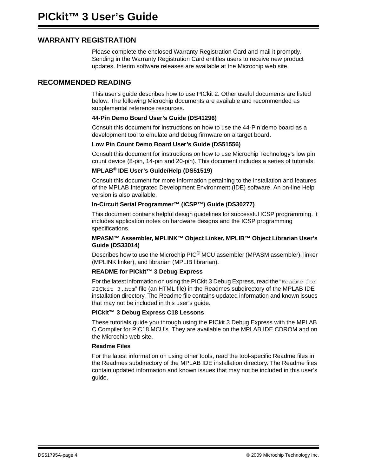## <span id="page-7-1"></span>**WARRANTY REGISTRATION**

Please complete the enclosed Warranty Registration Card and mail it promptly. Sending in the Warranty Registration Card entitles users to receive new product updates. Interim software releases are available at the Microchip web site.

### <span id="page-7-0"></span>**RECOMMENDED READING**

This user's guide describes how to use PICkit 2. Other useful documents are listed below. The following Microchip documents are available and recommended as supplemental reference resources.

#### **44-Pin Demo Board User's Guide (DS41296)**

Consult this document for instructions on how to use the 44-Pin demo board as a development tool to emulate and debug firmware on a target board.

#### **Low Pin Count Demo Board User's Guide (DS51556)**

Consult this document for instructions on how to use Microchip Technology's low pin count device (8-pin, 14-pin and 20-pin). This document includes a series of tutorials.

#### **MPLAB® IDE User's Guide/Help (DS51519)**

Consult this document for more information pertaining to the installation and features of the MPLAB Integrated Development Environment (IDE) software. An on-line Help version is also available.

#### **In-Circuit Serial Programmer™ (ICSP™) Guide (DS30277)**

This document contains helpful design guidelines for successful ICSP programming. It includes application notes on hardware designs and the ICSP programming specifications.

#### **MPASM™ Assembler, MPLINK™ Object Linker, MPLIB™ Object Librarian User's Guide (DS33014)**

Describes how to use the Microchip PIC<sup>®</sup> MCU assembler (MPASM assembler), linker (MPLINK linker), and librarian (MPLIB librarian).

### **README for PICkit™ 3 Debug Express**

For the latest information on using the PICkit 3 Debug Express, read the "Readme for PICkit 3.htm" file (an HTML file) in the Readmes subdirectory of the MPLAB IDE installation directory. The Readme file contains updated information and known issues that may not be included in this user's guide.

#### **PICkit™ 3 Debug Express C18 Lessons**

These tutorials guide you through using the PICkit 3 Debug Express with the MPLAB C Compiler for PIC18 MCU's. They are available on the MPLAB IDE CDROM and on the Microchip web site.

#### **Readme Files**

For the latest information on using other tools, read the tool-specific Readme files in the Readmes subdirectory of the MPLAB IDE installation directory. The Readme files contain updated information and known issues that may not be included in this user's guide.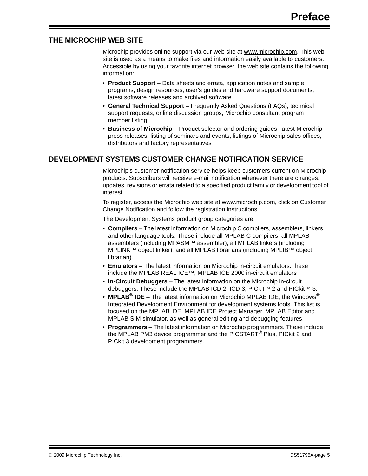## <span id="page-8-0"></span>**THE MICROCHIP WEB SITE**

Microchip provides online support via our web site at [www.microchip.com](http://www.microchip.com). This web site is used as a means to make files and information easily available to customers. Accessible by using your favorite internet browser, the web site contains the following information:

- **Product Support** Data sheets and errata, application notes and sample programs, design resources, user's guides and hardware support documents, latest software releases and archived software
- **General Technical Support** Frequently Asked Questions (FAQs), technical support requests, online discussion groups, Microchip consultant program member listing
- **Business of Microchip** Product selector and ordering guides, latest Microchip press releases, listing of seminars and events, listings of Microchip sales offices, distributors and factory representatives

## <span id="page-8-1"></span>**DEVELOPMENT SYSTEMS CUSTOMER CHANGE NOTIFICATION SERVICE**

Microchip's customer notification service helps keep customers current on Microchip products. Subscribers will receive e-mail notification whenever there are changes, updates, revisions or errata related to a specified product family or development tool of interest.

To register, access the Microchip web site at [www.microchip.com,](http://www.microchip.com) click on Customer Change Notification and follow the registration instructions.

The Development Systems product group categories are:

- **Compilers** The latest information on Microchip C compilers, assemblers, linkers and other language tools. These include all MPLAB C compilers; all MPLAB assemblers (including MPASM™ assembler); all MPLAB linkers (including MPLINK™ object linker); and all MPLAB librarians (including MPLIB™ object librarian).
- **Emulators** The latest information on Microchip in-circuit emulators.These include the MPLAB REAL ICE™, MPLAB ICE 2000 in-circuit emulators
- **In-Circuit Debuggers** The latest information on the Microchip in-circuit debuggers. These include the MPLAB ICD 2, ICD 3, PICkit™ 2 and PICkit™ 3.
- **MPLAB® IDE** The latest information on Microchip MPLAB IDE, the Windows® Integrated Development Environment for development systems tools. This list is focused on the MPLAB IDE, MPLAB IDE Project Manager, MPLAB Editor and MPLAB SIM simulator, as well as general editing and debugging features.
- **Programmers** The latest information on Microchip programmers. These include the MPLAB PM3 device programmer and the PICSTART<sup>®</sup> Plus, PICkit 2 and PICkit 3 development programmers.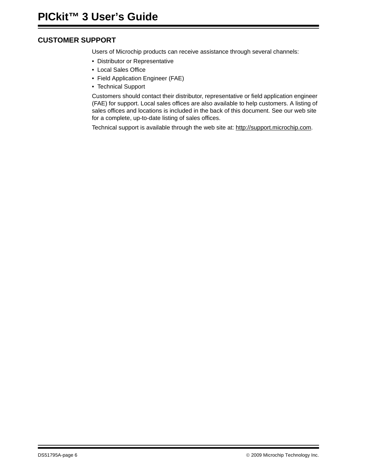## <span id="page-9-0"></span>**CUSTOMER SUPPORT**

Users of Microchip products can receive assistance through several channels:

- Distributor or Representative
- Local Sales Office
- Field Application Engineer (FAE)
- Technical Support

Customers should contact their distributor, representative or field application engineer (FAE) for support. Local sales offices are also available to help customers. A listing of sales offices and locations is included in the back of this document. See our web site for a complete, up-to-date listing of sales offices.

Technical support is available through the web site at: [http://support.microchip.com.](http://support.microchip.com)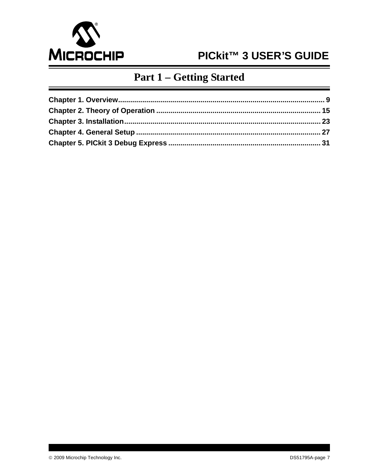

## PICkit™ 3 USER'S GUIDE

## **Part 1 - Getting Started**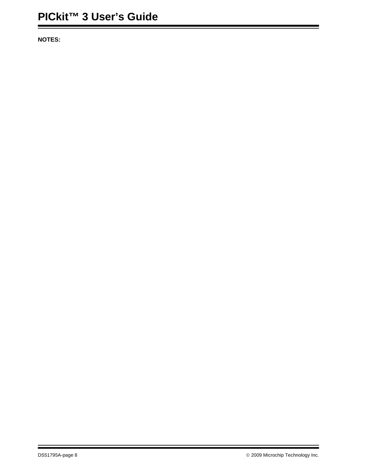**NOTES:**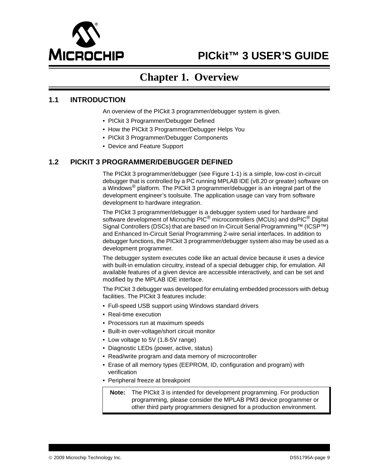

## <span id="page-12-3"></span>**PICkit™ 3 USER'S GUIDE**

## **Chapter 1. Overview**

### <span id="page-12-1"></span><span id="page-12-0"></span>**1.1 INTRODUCTION**

An overview of the PICkit 3 programmer/debugger system is given.

- • [PICkit 3 Programmer/Debugger Defined](#page-12-2)
- • [How the PICkit 3 Programmer/Debugger Helps You](#page-14-0)
- • [PICkit 3 Programmer/Debugger Components](#page-15-0)
- • [Device and Feature Support](#page-16-0)

#### <span id="page-12-2"></span>**1.2 PICKIT 3 PROGRAMMER/DEBUGGER DEFINED**

The PICkit 3 programmer/debugger (see [Figure 1-1\)](#page-13-0) is a simple, low-cost in-circuit debugger that is controlled by a PC running MPLAB IDE (v8.20 or greater) software on a Windows<sup>®</sup> platform. The PICkit 3 programmer/debugger is an integral part of the development engineer's toolsuite. The application usage can vary from software development to hardware integration.

The PICkit 3 programmer/debugger is a debugger system used for hardware and software development of Microchip PIC<sup>®</sup> microcontrollers (MCUs) and dsPIC<sup>®</sup> Digital Signal Controllers (DSCs) that are based on In-Circuit Serial Programming™ (ICSP™) and Enhanced In-Circuit Serial Programming 2-wire serial interfaces. In addition to debugger functions, the PICkit 3 programmer/debugger system also may be used as a development programmer.

The debugger system executes code like an actual device because it uses a device with built-in emulation circuitry, instead of a special debugger chip, for emulation. All available features of a given device are accessible interactively, and can be set and modified by the MPLAB IDE interface.

The PICkit 3 debugger was developed for emulating embedded processors with debug facilities. The PICkit 3 features include:

- Full-speed USB support using Windows standard drivers
- Real-time execution
- Processors run at maximum speeds
- Built-in over-voltage/short circuit monitor
- Low voltage to 5V (1.8-5V range)
- Diagnostic LEDs (power, active, status)
- Read/write program and data memory of microcontroller
- Erase of all memory types (EEPROM, ID, configuration and program) with verification
- Peripheral freeze at breakpoint

**Note:** The PICkit 3 is intended for development programming. For production programming, please consider the MPLAB PM3 device programmer or other third party programmers designed for a production environment.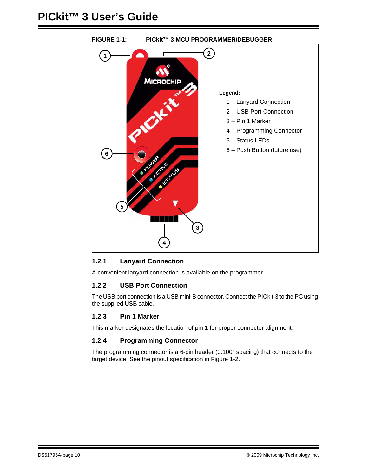<span id="page-13-0"></span>

## **1.2.1 Lanyard Connection**

A convenient lanyard connection is available on the programmer.

#### **1.2.2 USB Port Connection**

The USB port connection is a USB mini-B connector. Connect the PICkit 3 to the PC using the supplied USB cable.

#### **1.2.3 Pin 1 Marker**

This marker designates the location of pin 1 for proper connector alignment.

### **1.2.4 Programming Connector**

The programming connector is a 6-pin header (0.100" spacing) that connects to the target device. See the pinout specification in [Figure 1-2.](#page-14-1)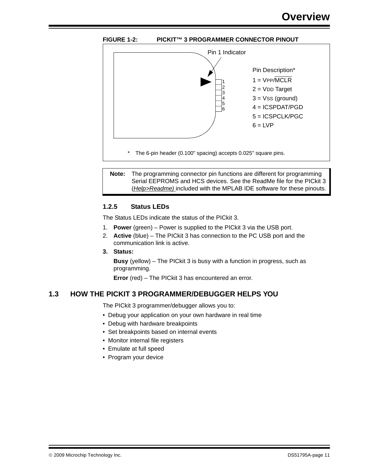<span id="page-14-1"></span>

**Note:** The programming connector pin functions are different for programming Serial EEPROMS and HCS devices. See the ReadMe file for the PICkit 3 (*Help>Readme)* included with the MPLAB IDE software for these pinouts.

### **1.2.5 Status LEDs**

The Status LEDs indicate the status of the PICkit 3.

- 1. **Power** (green) Power is supplied to the PICkit 3 via the USB port.
- 2. **Active** (blue) The PICkit 3 has connection to the PC USB port and the communication link is active.
- **3. Status:**

**Busy** (yellow) – The PICkit 3 is busy with a function in progress, such as programming.

**Error** (red) – The PICkit 3 has encountered an error.

## <span id="page-14-0"></span>**1.3 HOW THE PICKIT 3 PROGRAMMER/DEBUGGER HELPS YOU**

The PICkit 3 programmer/debugger allows you to:

- Debug your application on your own hardware in real time
- Debug with hardware breakpoints
- Set breakpoints based on internal events
- Monitor internal file registers
- Emulate at full speed
- Program your device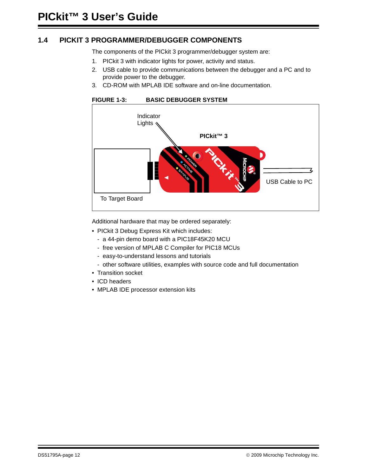## <span id="page-15-0"></span>**1.4 PICKIT 3 PROGRAMMER/DEBUGGER COMPONENTS**

The components of the PICkit 3 programmer/debugger system are:

- 1. PICkit 3 with indicator lights for power, activity and status.
- 2. USB cable to provide communications between the debugger and a PC and to provide power to the debugger.
- 3. CD-ROM with MPLAB IDE software and on-line documentation.





Additional hardware that may be ordered separately:

- PICkit 3 Debug Express Kit which includes:
	- a 44-pin demo board with a PIC18F45K20 MCU
	- free version of MPLAB C Compiler for PIC18 MCUs
	- easy-to-understand lessons and tutorials
	- other software utilities, examples with source code and full documentation
- Transition socket
- ICD headers
- MPLAB IDE processor extension kits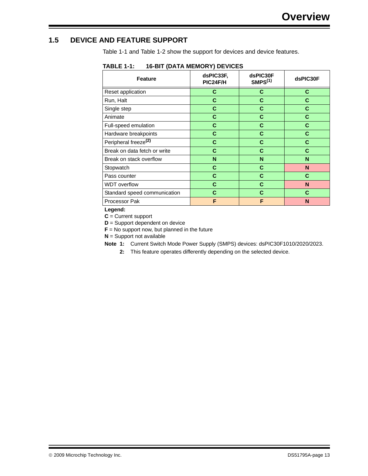## <span id="page-16-0"></span>**1.5 DEVICE AND FEATURE SUPPORT**

[Table 1-1](#page-16-1) and [Table 1-2](#page-17-0) show the support for devices and device features.

| <b>Feature</b>                   | dsPIC33F,<br>PIC24F/H | dsPIC30F<br>SMPS <sup>(1)</sup> | dsPIC30F |
|----------------------------------|-----------------------|---------------------------------|----------|
| Reset application                | С                     | С                               | C        |
| Run, Halt                        | C                     | С                               | С        |
| Single step                      | C                     | C                               | C        |
| Animate                          | С                     | С                               | С        |
| Full-speed emulation             | C                     | C                               | С        |
| Hardware breakpoints             | С                     | C                               | С        |
| Peripheral freeze <sup>(2)</sup> | C                     | С                               | С        |
| Break on data fetch or write     | C                     | C                               | С        |
| Break on stack overflow          | N                     | N                               | N        |
| Stopwatch                        | C                     | С                               | N        |
| Pass counter                     | С                     | С                               | С        |
| <b>WDT</b> overflow              | C                     | С                               | N        |
| Standard speed communication     | С                     | Ć                               | С        |
| Processor Pak                    | F                     | F                               | N        |

### <span id="page-16-1"></span>**TABLE 1-1: 16-BIT (DATA MEMORY) DEVICES**

**Legend:**

**C** = Current support

**D** = Support dependent on device

 **= No support now, but planned in the future** 

**N** = Support not available

**Note 1:** Current Switch Mode Power Supply (SMPS) devices: dsPIC30F1010/2020/2023.

**2:** This feature operates differently depending on the selected device.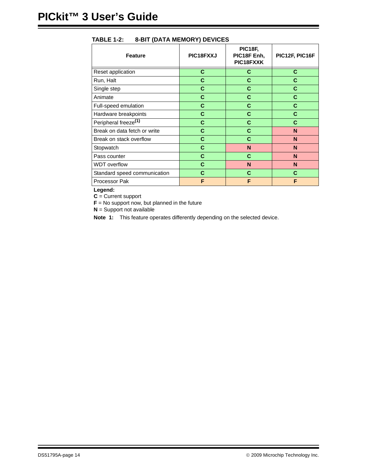| <b>Feature</b>                   | PIC18FXXJ | <b>PIC18F,</b><br>PIC18F Enh,<br>PIC18FXXK | PIC12F, PIC16F |
|----------------------------------|-----------|--------------------------------------------|----------------|
| Reset application                | C         | C                                          | C              |
| Run, Halt                        | С         | C                                          | С              |
| Single step                      | С         | C                                          | C              |
| Animate                          | С         | C                                          | С              |
| Full-speed emulation             | С         | C                                          | С              |
| Hardware breakpoints             | C         | C                                          | C              |
| Peripheral freeze <sup>(1)</sup> | С         | С                                          | С              |
| Break on data fetch or write     | C         | C                                          | N              |
| Break on stack overflow          | C         | C                                          | N              |
| Stopwatch                        | С         | N                                          | N              |
| Pass counter                     | C         | C                                          | N              |
| <b>WDT</b> overflow              | С         | N                                          | N              |
| Standard speed communication     | С         | С                                          | C              |
| Processor Pak                    | F         | F                                          | F              |

#### <span id="page-17-0"></span>**TABLE 1-2: 8-BIT (DATA MEMORY) DEVICES**

**Legend:**

**C** = Current support

 **= No support now, but planned in the future** 

**N** = Support not available

**Note 1:** This feature operates differently depending on the selected device.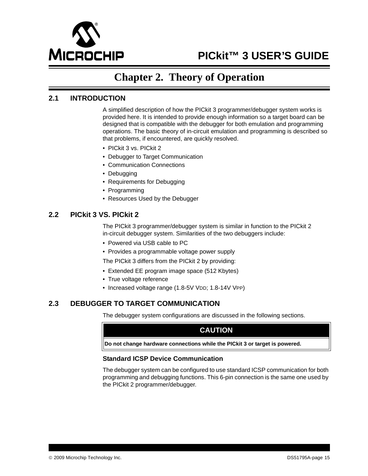

## <span id="page-18-4"></span>**PICkit™ 3 USER'S GUIDE**

## **Chapter 2. Theory of Operation**

### <span id="page-18-1"></span><span id="page-18-0"></span>**2.1 INTRODUCTION**

A simplified description of how the PICkit 3 programmer/debugger system works is provided here. It is intended to provide enough information so a target board can be designed that is compatible with the debugger for both emulation and programming operations. The basic theory of in-circuit emulation and programming is described so that problems, if encountered, are quickly resolved.

- • [PICkit 3 vs. PICkit 2](#page-18-2)
- • [Debugger to Target Communication](#page-18-3)
- • [Communication Connections](#page-20-0)
- • [Debugging](#page-22-0)
- • [Requirements for Debugging](#page-23-0)
- • [Programming](#page-25-0)
- • [Resources Used by the Debugger](#page-25-1)

### <span id="page-18-2"></span>**2.2 PICkit 3 VS. PICkit 2**

The PICkit 3 programmer/debugger system is similar in function to the PICkit 2 in-circuit debugger system. Similarities of the two debuggers include:

- Powered via USB cable to PC
- Provides a programmable voltage power supply

The PICkit 3 differs from the PICkit 2 by providing:

- Extended EE program image space (512 Kbytes)
- True voltage reference
- Increased voltage range (1.8-5V VDD; 1.8-14V VPP)

### <span id="page-18-5"></span><span id="page-18-3"></span>**2.3 DEBUGGER TO TARGET COMMUNICATION**

The debugger system configurations are discussed in the following sections.

## **CAUTION Do not change hardware connections while the PICkit 3 or target is powered.**

#### <span id="page-18-6"></span>**Standard ICSP Device Communication**

The debugger system can be configured to use standard ICSP communication for both programming and debugging functions. This 6-pin connection is the same one used by the PICkit 2 programmer/debugger.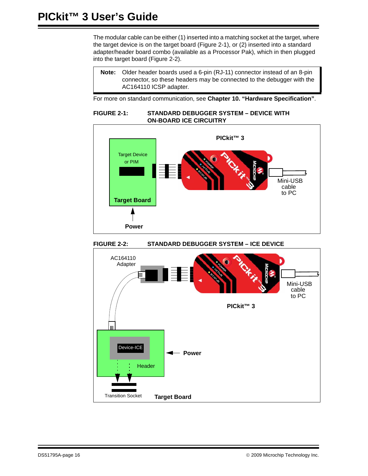The modular cable can be either (1) inserted into a matching socket at the target, where the target device is on the target board [\(Figure 2-1\)](#page-19-0), or (2) inserted into a standard adapter/header board combo (available as a Processor Pak), which in then plugged into the target board ([Figure 2-2](#page-19-1)).

**Note:** Older header boards used a 6-pin (RJ-11) connector instead of an 8-pin connector, so these headers may be connected to the debugger with the AC164110 ICSP adapter.

For more on standard communication, see **[Chapter 10. "Hardware Specification"](#page-62-4)**.

<span id="page-19-0"></span>



<span id="page-19-1"></span>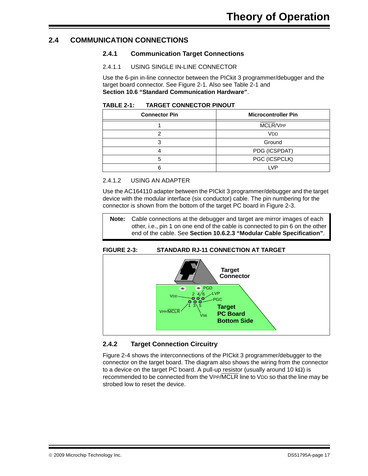### <span id="page-20-0"></span>**2.4 COMMUNICATION CONNECTIONS**

#### **2.4.1 Communication Target Connections**

#### 2.4.1.1 USING SINGLE IN-LINE CONNECTOR

Use the 6-pin in-line connector between the PICkit 3 programmer/debugger and the target board connector. See [Figure 2-1](#page-19-0). Also see [Table 2-1](#page-20-1) and **[Section 10.6 "Standard Communication Hardware"](#page-64-1)**.

#### <span id="page-20-1"></span>**TABLE 2-1: TARGET CONNECTOR PINOUT**

| <b>Connector Pin</b> | <b>Microcontroller Pin</b> |
|----------------------|----------------------------|
|                      | MCLR/VPP                   |
|                      | <b>VDD</b>                 |
|                      | Ground                     |
|                      | PDG (ICSPDAT)              |
|                      | PGC (ICSPCLK)              |
|                      | LVP                        |

#### 2.4.1.2 USING AN ADAPTER

Use the AC164110 adapter between the PICkit 3 programmer/debugger and the target device with the modular interface (six conductor) cable. The pin numbering for the connector is shown from the bottom of the target PC board in [Figure 2-3](#page-20-2).

**Note:** Cable connections at the debugger and target are mirror images of each other, i.e., pin 1 on one end of the cable is connected to pin 6 on the other end of the cable. See **[Section 10.6.2.3 "Modular Cable Specification"](#page-66-1)**.

#### <span id="page-20-2"></span>**FIGURE 2-3: STANDARD RJ-11 CONNECTION AT TARGET**



#### **2.4.2 Target Connection Circuitry**

[Figure 2-4](#page-21-0) shows the interconnections of the PICkit 3 programmer/debugger to the connector on the target board. The diagram also shows the wiring from the connector to a device on the target PC board. A pull-up resistor (usually around 10 kΩ) is recommended to be connected from the VPP/MCLR line to VDD so that the line may be strobed low to reset the device.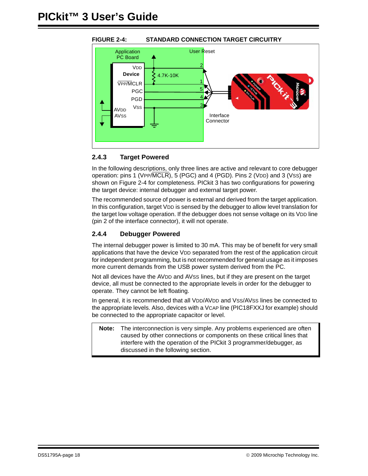

<span id="page-21-0"></span>**FIGURE 2-4: STANDARD CONNECTION TARGET CIRCUITRY**

### **2.4.3 Target Powered**

In the following descriptions, only three lines are active and relevant to core debugger operation: pins 1 (VPP/MCLR), 5 (PGC) and 4 (PGD). Pins 2 (VDD) and 3 (VSS) are shown on [Figure 2-4](#page-21-0) for completeness. PICkit 3 has two configurations for powering the target device: internal debugger and external target power.

The recommended source of power is external and derived from the target application. In this configuration, target VDD is sensed by the debugger to allow level translation for the target low voltage operation. If the debugger does not sense voltage on its VDD line (pin 2 of the interface connector), it will not operate.

### **2.4.4 Debugger Powered**

The internal debugger power is limited to 30 mA. This may be of benefit for very small applications that have the device VDD separated from the rest of the application circuit for independent programming, but is not recommended for general usage as it imposes more current demands from the USB power system derived from the PC.

Not all devices have the AVDD and AVSS lines, but if they are present on the target device, all must be connected to the appropriate levels in order for the debugger to operate. They cannot be left floating.

In general, it is recommended that all VDD/AVDD and VSS/AVSS lines be connected to the appropriate levels. Also, devices with a VCAP line (PIC18FXXJ for example) should be connected to the appropriate capacitor or level.

**Note:** The interconnection is very simple. Any problems experienced are often caused by other connections or components on these critical lines that interfere with the operation of the PICkit 3 programmer/debugger, as discussed in the following section.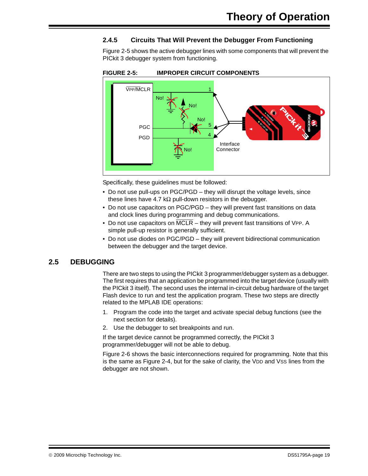### **2.4.5 Circuits That Will Prevent the Debugger From Functioning**

[Figure 2-5](#page-22-1) shows the active debugger lines with some components that will prevent the PICkit 3 debugger system from functioning.



<span id="page-22-1"></span>**FIGURE 2-5: IMPROPER CIRCUIT COMPONENTS**

Specifically, these guidelines must be followed:

- Do not use pull-ups on PGC/PGD they will disrupt the voltage levels, since these lines have 4.7 k $\Omega$  pull-down resistors in the debugger.
- Do not use capacitors on PGC/PGD they will prevent fast transitions on data and clock lines during programming and debug communications.
- Do not use capacitors on  $\overline{MCLR}$  they will prevent fast transitions of VPP. A simple pull-up resistor is generally sufficient.
- Do not use diodes on PGC/PGD they will prevent bidirectional communication between the debugger and the target device.

#### <span id="page-22-0"></span>**2.5 DEBUGGING**

There are two steps to using the PICkit 3 programmer/debugger system as a debugger. The first requires that an application be programmed into the target device (usually with the PICkit 3 itself). The second uses the internal in-circuit debug hardware of the target Flash device to run and test the application program. These two steps are directly related to the MPLAB IDE operations:

- 1. Program the code into the target and activate special debug functions (see the next section for details).
- 2. Use the debugger to set breakpoints and run.

If the target device cannot be programmed correctly, the PICkit 3 programmer/debugger will not be able to debug.

[Figure 2-6](#page-23-1) shows the basic interconnections required for programming. Note that this is the same as [Figure 2-4,](#page-21-0) but for the sake of clarity, the VDD and VSS lines from the debugger are not shown.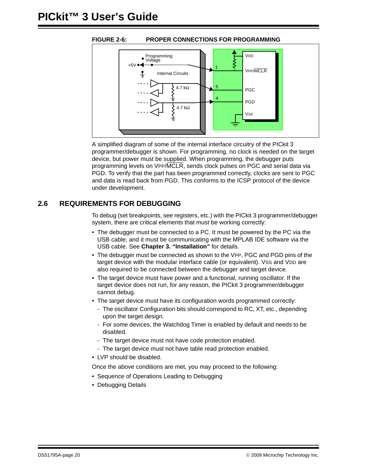<span id="page-23-1"></span>



A simplified diagram of some of the internal interface circuitry of the PICkit 3 programmer/debugger is shown. For programming, no clock is needed on the target device, but power must be supplied. When programming, the debugger puts programming levels on VPP/MCLR, sends clock pulses on PGC and serial data via PGD. To verify that the part has been programmed correctly, clocks are sent to PGC and data is read back from PGD. This conforms to the ICSP protocol of the device under development.

#### <span id="page-23-0"></span>**2.6 REQUIREMENTS FOR DEBUGGING**

To debug (set breakpoints, see registers, etc.) with the PICkit 3 programmer/debugger system, there are critical elements that must be working correctly:

- The debugger must be connected to a PC. It must be powered by the PC via the USB cable, and it must be communicating with the MPLAB IDE software via the USB cable. See **[Chapter 3. "Installation"](#page-26-4)** for details.
- The debugger must be connected as shown to the VPP, PGC and PGD pins of the target device with the modular interface cable (or equivalent). Vss and VDD are also required to be connected between the debugger and target device.
- The target device must have power and a functional, running oscillator. If the target device does not run, for any reason, the PICkit 3 programmer/debugger cannot debug.
- The target device must have its configuration words programmed correctly:
	- The oscillator Configuration bits should correspond to RC, XT, etc., depending upon the target design.
	- For some devices, the Watchdog Timer is enabled by default and needs to be disabled.
	- The target device must not have code protection enabled.
	- The target device must not have table read protection enabled.
- LVP should be disabled.

Once the above conditions are met, you may proceed to the following:

- • [Sequence of Operations Leading to Debugging](#page-24-0)
- • [Debugging Details](#page-24-1)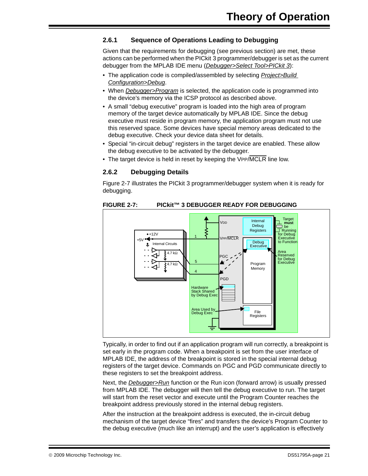#### <span id="page-24-0"></span>**2.6.1 Sequence of Operations Leading to Debugging**

Given that the requirements for debugging (see previous section) are met, these actions can be performed when the PICkit 3 programmer/debugger is set as the current debugger from the MPLAB IDE menu (*Debugger>Select Tool>PICkit 3*):

- The application code is compiled/assembled by selecting *Project>Build Configuration>Debug*.
- When *Debugger>Program* is selected, the application code is programmed into the device's memory via the ICSP protocol as described above.
- A small "debug executive" program is loaded into the high area of program memory of the target device automatically by MPLAB IDE. Since the debug executive must reside in program memory, the application program must not use this reserved space. Some devices have special memory areas dedicated to the debug executive. Check your device data sheet for details.
- Special "in-circuit debug" registers in the target device are enabled. These allow the debug executive to be activated by the debugger.
- The target device is held in reset by keeping the VPP/MCLR line low.

#### <span id="page-24-1"></span>**2.6.2 Debugging Details**

[Figure 2-7](#page-24-2) illustrates the PICkit 3 programmer/debugger system when it is ready for debugging.



<span id="page-24-2"></span>**FIGURE 2-7: PICkit™ 3 DEBUGGER READY FOR DEBUGGING**

Typically, in order to find out if an application program will run correctly, a breakpoint is set early in the program code. When a breakpoint is set from the user interface of MPLAB IDE, the address of the breakpoint is stored in the special internal debug registers of the target device. Commands on PGC and PGD communicate directly to these registers to set the breakpoint address.

Next, the *Debugger>Run* function or the Run icon (forward arrow) is usually pressed from MPLAB IDE. The debugger will then tell the debug executive to run. The target will start from the reset vector and execute until the Program Counter reaches the breakpoint address previously stored in the internal debug registers.

After the instruction at the breakpoint address is executed, the in-circuit debug mechanism of the target device "fires" and transfers the device's Program Counter to the debug executive (much like an interrupt) and the user's application is effectively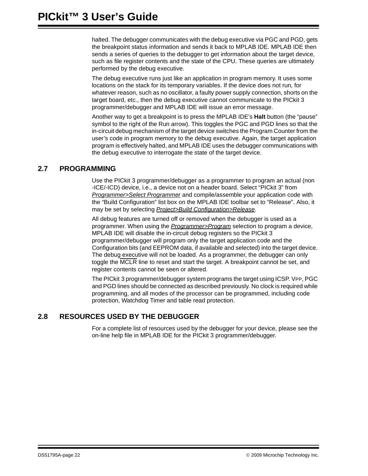halted. The debugger communicates with the debug executive via PGC and PGD, gets the breakpoint status information and sends it back to MPLAB IDE. MPLAB IDE then sends a series of queries to the debugger to get information about the target device, such as file register contents and the state of the CPU. These queries are ultimately performed by the debug executive.

The debug executive runs just like an application in program memory. It uses some locations on the stack for its temporary variables. If the device does not run, for whatever reason, such as no oscillator, a faulty power supply connection, shorts on the target board, etc., then the debug executive cannot communicate to the PICkit 3 programmer/debugger and MPLAB IDE will issue an error message.

Another way to get a breakpoint is to press the MPLAB IDE's **Halt** button (the "pause" symbol to the right of the Run arrow). This toggles the PGC and PGD lines so that the in-circuit debug mechanism of the target device switches the Program Counter from the user's code in program memory to the debug executive. Again, the target application program is effectively halted, and MPLAB IDE uses the debugger communications with the debug executive to interrogate the state of the target device.

## <span id="page-25-0"></span>**2.7 PROGRAMMING**

Use the PICkit 3 programmer/debugger as a programmer to program an actual (non -ICE/-ICD) device, i.e., a device not on a header board. Select "PICkit 3" from *Programmer>Select Programmer* and compile/assemble your application code with the "Build Configuration" list box on the MPLAB IDE toolbar set to "Release". Also, it may be set by selecting *Project>Build Configuration>Release*.

All debug features are turned off or removed when the debugger is used as a programmer. When using the *Programmer>Program* selection to program a device, MPLAB IDE will disable the in-circuit debug registers so the PICkit 3 programmer/debugger will program only the target application code and the Configuration bits (and EEPROM data, if available and selected) into the target device. The debug executive will not be loaded. As a programmer, the debugger can only toggle the MCLR line to reset and start the target. A breakpoint cannot be set, and register contents cannot be seen or altered.

The PICkit 3 programmer/debugger system programs the target using ICSP. VPP, PGC and PGD lines should be connected as described previously. No clock is required while programming, and all modes of the processor can be programmed, including code protection, Watchdog Timer and table read protection.

## <span id="page-25-1"></span>**2.8 RESOURCES USED BY THE DEBUGGER**

For a complete list of resources used by the debugger for your device, please see the on-line help file in MPLAB IDE for the PICkit 3 programmer/debugger.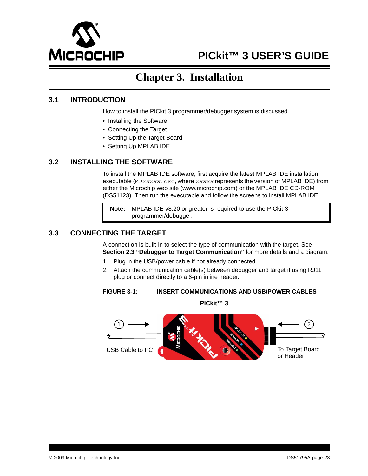

<span id="page-26-4"></span>

## **Chapter 3. Installation**

### <span id="page-26-1"></span><span id="page-26-0"></span>**3.1 INTRODUCTION**

How to install the PICkit 3 programmer/debugger system is discussed.

- • [Installing the Software](#page-26-2)
- • [Connecting the Target](#page-26-3)
- • [Setting Up the Target Board](#page-27-0)
- • [Setting Up MPLAB IDE](#page-28-0)

## <span id="page-26-5"></span><span id="page-26-2"></span>**3.2 INSTALLING THE SOFTWARE**

To install the MPLAB IDE software, first acquire the latest MPLAB IDE installation executable (MP*xxxxx*.exe, where *xxxxx* represents the version of MPLAB IDE) from either the Microchip web site (www.microchip.com) or the MPLAB IDE CD-ROM (DS51123). Then run the executable and follow the screens to install MPLAB IDE.

**Note:** MPLAB IDE v8.20 or greater is required to use the PICkit 3 programmer/debugger.

## <span id="page-26-3"></span>**3.3 CONNECTING THE TARGET**

A connection is built-in to select the type of communication with the target. See **[Section 2.3 "Debugger to Target Communication"](#page-18-5)** for more details and a diagram.

- 1. Plug in the USB/power cable if not already connected.
- 2. Attach the communication cable(s) between debugger and target if using RJ11 plug or connect directly to a 6-pin inline header.

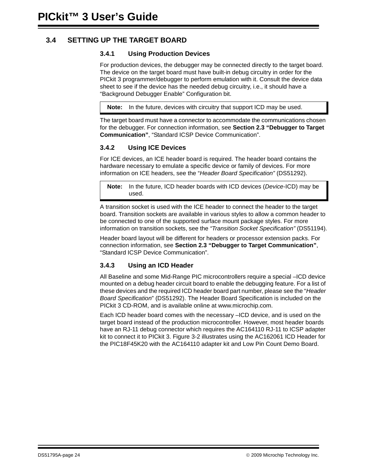## <span id="page-27-0"></span>**3.4 SETTING UP THE TARGET BOARD**

### **3.4.1 Using Production Devices**

For production devices, the debugger may be connected directly to the target board. The device on the target board must have built-in debug circuitry in order for the PICkit 3 programmer/debugger to perform emulation with it. Consult the device data sheet to see if the device has the needed debug circuitry, i.e., it should have a "Background Debugger Enable" Configuration bit.

**Note:** In the future, devices with circuitry that support ICD may be used.

The target board must have a connector to accommodate the communications chosen for the debugger. For connection information, see **[Section 2.3 "Debugger to Target](#page-18-5)  [Communication"](#page-18-5)**, "[Standard ICSP Device Communication](#page-18-6)".

## **3.4.2 Using ICE Devices**

For ICE devices, an ICE header board is required. The header board contains the hardware necessary to emulate a specific device or family of devices. For more information on ICE headers, see the "*Header Board Specification"* (DS51292).

**Note:** In the future, ICD header boards with ICD devices (*Device*-ICD) may be used.

A transition socket is used with the ICE header to connect the header to the target board. Transition sockets are available in various styles to allow a common header to be connected to one of the supported surface mount package styles. For more information on transition sockets, see the *"Transition Socket Specification"* (DS51194).

Header board layout will be different for headers or processor extension packs. For connection information, see **[Section 2.3 "Debugger to Target Communication"](#page-18-5)**, "[Standard ICSP Device Communication](#page-18-6)".

### **3.4.3 Using an ICD Header**

All Baseline and some Mid-Range PIC microcontrollers require a special –ICD device mounted on a debug header circuit board to enable the debugging feature. For a list of these devices and the required ICD header board part number, please see the "*Header Board Specification*" (DS51292). The Header Board Specification is included on the PICkit 3 CD-ROM, and is available online at www.microchip.com.

Each ICD header board comes with the necessary –ICD device, and is used on the target board instead of the production microcontroller. However, most header boards have an RJ-11 debug connector which requires the AC164110 RJ-11 to ICSP adapter kit to connect it to PICkit 3. [Figure 3-2](#page-28-1) illustrates using the AC162061 ICD Header for the PIC18F45K20 with the AC164110 adapter kit and Low Pin Count Demo Board.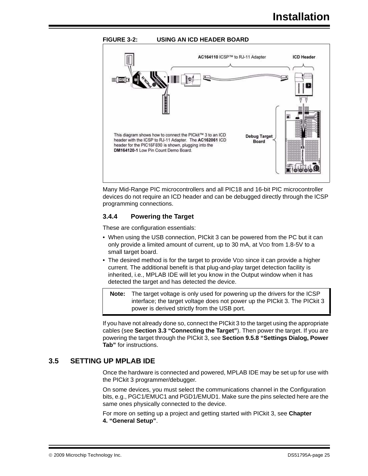#### <span id="page-28-1"></span>**FIGURE 3-2: USING AN ICD HEADER BOARD**



Many Mid-Range PIC microcontrollers and all PIC18 and 16-bit PIC microcontroller devices do not require an ICD header and can be debugged directly through the ICSP programming connections.

#### **3.4.4 Powering the Target**

These are configuration essentials:

- When using the USB connection, PICkit 3 can be powered from the PC but it can only provide a limited amount of current, up to 30 mA, at VDD from 1.8-5V to a small target board.
- The desired method is for the target to provide VDD since it can provide a higher current. The additional benefit is that plug-and-play target detection facility is inherited, i.e., MPLAB IDE will let you know in the Output window when it has detected the target and has detected the device.

**Note:** The target voltage is only used for powering up the drivers for the ICSP interface; the target voltage does not power up the PICkit 3. The PICkit 3 power is derived strictly from the USB port.

If you have not already done so, connect the PICkit 3 to the target using the appropriate cables (see **[Section 3.3 "Connecting the Target"](#page-26-3)**). Then power the target. If you are powering the target through the PICkit 3, see **[Section 9.5.8 "Settings Dialog, Power](#page-61-0)  [Tab"](#page-61-0)** for instructions.

### <span id="page-28-0"></span>**3.5 SETTING UP MPLAB IDE**

Once the hardware is connected and powered, MPLAB IDE may be set up for use with the PICkit 3 programmer/debugger.

On some devices, you must select the communications channel in the Configuration bits, e.g., PGC1/EMUC1 and PGD1/EMUD1. Make sure the pins selected here are the same ones physically connected to the device.

For more on setting up a project and getting started with PICkit 3, see **[Chapter](#page-30-4)  [4. "General Setup"](#page-30-4)**.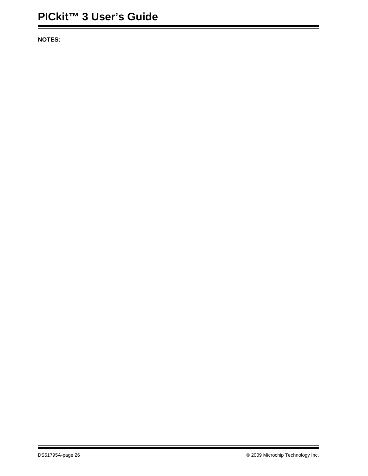**NOTES:**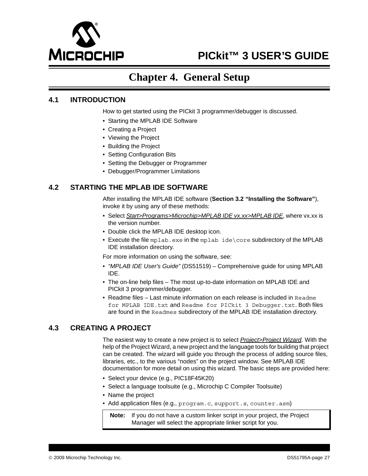

## <span id="page-30-4"></span>**Chapter 4. General Setup**

## <span id="page-30-1"></span><span id="page-30-0"></span>**4.1 INTRODUCTION**

How to get started using the PICkit 3 programmer/debugger is discussed.

- • [Starting the MPLAB IDE Software](#page-30-2)
- • [Creating a Project](#page-30-3)
- • [Viewing the Project](#page-31-0)
- • [Building the Project](#page-31-1)
- • [Setting Configuration Bits](#page-31-2)
- • [Setting the Debugger or Programmer](#page-31-3)
- • [Debugger/Programmer Limitations](#page-32-0)

## <span id="page-30-2"></span>**4.2 STARTING THE MPLAB IDE SOFTWARE**

After installing the MPLAB IDE software (**[Section 3.2 "Installing the Software"](#page-26-5)**), invoke it by using any of these methods:

- Select *Start>Programs>Microchip>MPLAB IDE vx.xx>MPLAB IDE*, where vx.xx is the version number.
- Double click the MPLAB IDE desktop icon.
- Execute the file mplab.exe in the mplab ide\core subdirectory of the MPLAB IDE installation directory.

For more information on using the software, see:

- *"MPLAB IDE User's Guide"* (DS51519) Comprehensive guide for using MPLAB IDE.
- The on-line help files The most up-to-date information on MPLAB IDE and PICkit 3 programmer/debugger.
- Readme files Last minute information on each release is included in Readme for MPLAB IDE.txt and Readme for PICkit 3 Debugger.txt. Both files are found in the Readmes subdirectory of the MPLAB IDE installation directory.

## <span id="page-30-3"></span>**4.3 CREATING A PROJECT**

The easiest way to create a new project is to select *Project>Project Wizard*. With the help of the Project Wizard, a new project and the language tools for building that project can be created. The wizard will guide you through the process of adding source files, libraries, etc., to the various "nodes" on the project window. See MPLAB IDE documentation for more detail on using this wizard. The basic steps are provided here:

- Select your device (e.g., PIC18F45K20)
- Select a language toolsuite (e.g., Microchip C Compiler Toolsuite)
- Name the project
- Add application files (e.g., program.c, support.s, counter.asm)

**Note:** If you do not have a custom linker script in your project, the Project Manager will select the appropriate linker script for you.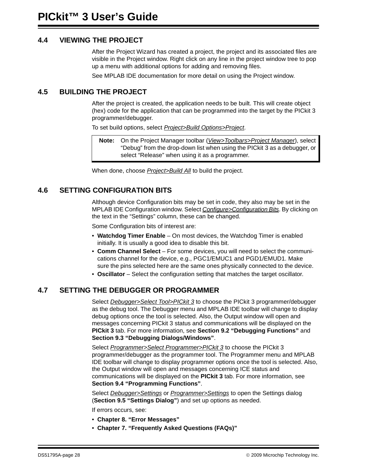## <span id="page-31-0"></span>**4.4 VIEWING THE PROJECT**

After the Project Wizard has created a project, the project and its associated files are visible in the Project window. Right click on any line in the project window tree to pop up a menu with additional options for adding and removing files.

See MPLAB IDE documentation for more detail on using the Project window.

## <span id="page-31-1"></span>**4.5 BUILDING THE PROJECT**

After the project is created, the application needs to be built. This will create object (hex) code for the application that can be programmed into the target by the PICkit 3 programmer/debugger.

To set build options, select *Project>Build Options>Project*.

**Note:** On the Project Manager toolbar (*View>Toolbars>Project Manager*), select "Debug" from the drop-down list when using the PICkit 3 as a debugger, or select "Release" when using it as a programmer.

When done, choose *Project>Build All* to build the project.

## <span id="page-31-2"></span>**4.6 SETTING CONFIGURATION BITS**

Although device Configuration bits may be set in code, they also may be set in the MPLAB IDE Configuration window. Select *Configure>Configuration Bits*. By clicking on the text in the "Settings" column, these can be changed.

Some Configuration bits of interest are:

- **Watchdog Timer Enable** On most devices, the Watchdog Timer is enabled initially. It is usually a good idea to disable this bit.
- **Comm Channel Select** For some devices, you will need to select the communications channel for the device, e.g., PGC1/EMUC1 and PGD1/EMUD1. Make sure the pins selected here are the same ones physically connected to the device.
- **Oscillator** Select the configuration setting that matches the target oscillator.

## <span id="page-31-3"></span>**4.7 SETTING THE DEBUGGER OR PROGRAMMER**

Select *Debugger>Select Tool>PICkit 3* to choose the PICkit 3 programmer/debugger as the debug tool. The Debugger menu and MPLAB IDE toolbar will change to display debug options once the tool is selected. Also, the Output window will open and messages concerning PICkit 3 status and communications will be displayed on the **PICkit 3** tab. For more information, see **[Section 9.2 "Debugging Functions"](#page-52-4)** and **[Section 9.3 "Debugging Dialogs/Windows"](#page-54-1)**.

Select *Programmer>Select Programmer>PICkit 3* to choose the PICkit 3 programmer/debugger as the programmer tool. The Programmer menu and MPLAB IDE toolbar will change to display programmer options once the tool is selected. Also, the Output window will open and messages concerning ICE status and communications will be displayed on the **PICkit 3** tab. For more information, see **[Section 9.4 "Programming Functions"](#page-58-1)**.

Select *Debugger>Settings* or *Programmer>Settings* to open the Settings dialog (**[Section 9.5 "Settings Dialog"](#page-59-1)**) and set up options as needed.

If errors occurs, see:

- **[Chapter 8. "Error Messages"](#page-44-3)**
- **[Chapter 7. "Frequently Asked Questions \(FAQs\)"](#page-40-3)**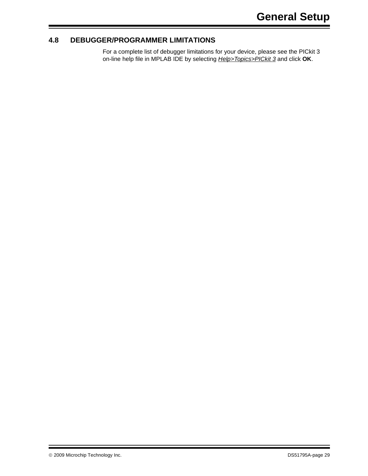## <span id="page-32-0"></span>**4.8 DEBUGGER/PROGRAMMER LIMITATIONS**

For a complete list of debugger limitations for your device, please see the PICkit 3 on-line help file in MPLAB IDE by selecting *Help>Topics>PICkit 3* and click **OK**.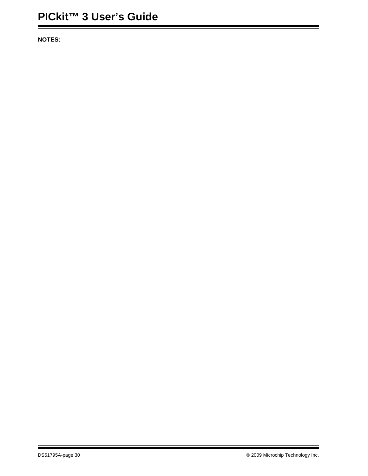**NOTES:**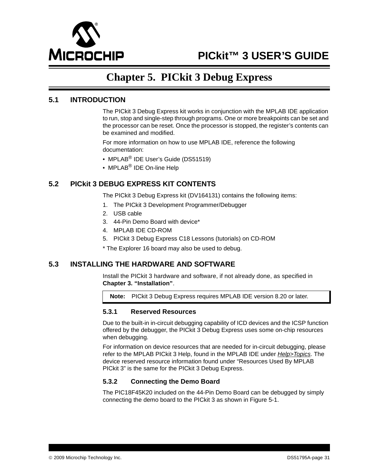

## <span id="page-34-4"></span>**Chapter 5. PICkit 3 Debug Express**

## <span id="page-34-1"></span><span id="page-34-0"></span>**5.1 INTRODUCTION**

The PICkit 3 Debug Express kit works in conjunction with the MPLAB IDE application to run, stop and single-step through programs. One or more breakpoints can be set and the processor can be reset. Once the processor is stopped, the register's contents can be examined and modified.

For more information on how to use MPLAB IDE, reference the following documentation:

- MPLAB<sup>®</sup> IDE User's Guide (DS51519)
- MPLAB<sup>®</sup> IDE On-line Help

## <span id="page-34-2"></span>**5.2 PICkit 3 DEBUG EXPRESS KIT CONTENTS**

The PICkit 3 Debug Express kit (DV164131) contains the following items:

- 1. The PICkit 3 Development Programmer/Debugger
- 2. USB cable
- 3. 44-Pin Demo Board with device\*
- 4. MPLAB IDE CD-ROM
- 5. PICkit 3 Debug Express C18 Lessons (tutorials) on CD-ROM

\* The Explorer 16 board may also be used to debug.

### <span id="page-34-3"></span>**5.3 INSTALLING THE HARDWARE AND SOFTWARE**

Install the PICkit 3 hardware and software, if not already done, as specified in **[Chapter 3. "Installation"](#page-26-4)**.

**Note:** PICkit 3 Debug Express requires MPLAB IDE version 8.20 or later.

#### **5.3.1 Reserved Resources**

Due to the built-in in-circuit debugging capability of ICD devices and the ICSP function offered by the debugger, the PICkit 3 Debug Express uses some on-chip resources when debugging.

For information on device resources that are needed for in-circuit debugging, please refer to the MPLAB PICkit 3 Help, found in the MPLAB IDE under *Help>Topics*. The device reserved resource information found under "Resources Used By MPLAB PICkit 3" is the same for the PICkit 3 Debug Express.

#### **5.3.2 Connecting the Demo Board**

The PIC18F45K20 included on the 44-Pin Demo Board can be debugged by simply connecting the demo board to the PICkit 3 as shown in [Figure 5-1.](#page-35-0)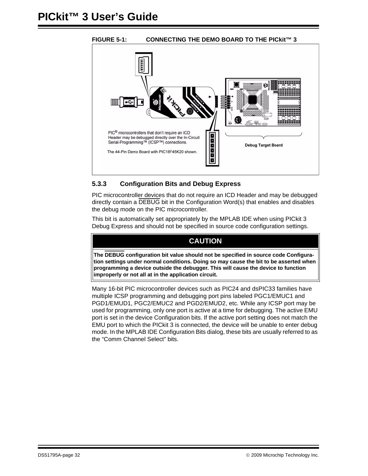<span id="page-35-0"></span>



### **5.3.3 Configuration Bits and Debug Express**

PIC microcontroller devices that do not require an ICD Header and may be debugged directly contain a DEBUG bit in the Configuration Word(s) that enables and disables the debug mode on the PIC microcontroller.

This bit is automatically set appropriately by the MPLAB IDE when using PICkit 3 Debug Express and should not be specified in source code configuration settings.

## **CAUTION**

**The DEBUG configuration bit value should not be specified in source code Configuration settings under normal conditions. Doing so may cause the bit to be asserted when programming a device outside the debugger. This will cause the device to function improperly or not all at in the application circuit.**

Many 16-bit PIC microcontroller devices such as PIC24 and dsPIC33 families have multiple ICSP programming and debugging port pins labeled PGC1/EMUC1 and PGD1/EMUD1, PGC2/EMUC2 and PGD2/EMUD2, etc. While any ICSP port may be used for programming, only one port is active at a time for debugging. The active EMU port is set in the device Configuration bits. If the active port setting does not match the EMU port to which the PICkit 3 is connected, the device will be unable to enter debug mode. In the MPLAB IDE Configuration Bits dialog, these bits are usually referred to as the "Comm Channel Select" bits.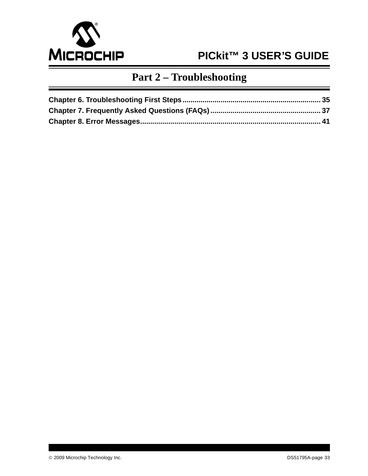

# **PICkit™ 3 USER'S GUIDE**

# **Part 2 – Troubleshooting**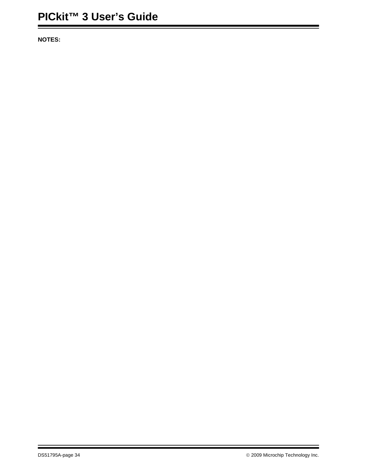**NOTES:**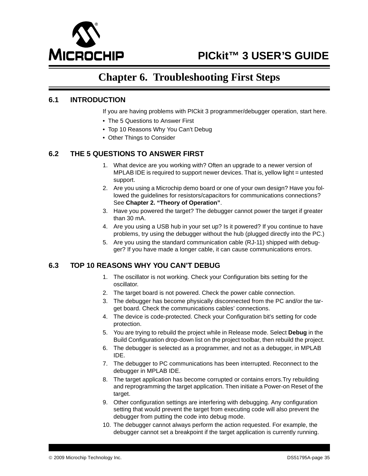

## <span id="page-38-0"></span>**Chapter 6. Troubleshooting First Steps**

## **6.1 INTRODUCTION**

If you are having problems with PICkit 3 programmer/debugger operation, start here.

- • [The 5 Questions to Answer First](#page-38-1)
- • [Top 10 Reasons Why You Can't Debug](#page-38-2)
- • [Other Things to Consider](#page-39-0)

## <span id="page-38-1"></span>**6.2 THE 5 QUESTIONS TO ANSWER FIRST**

- 1. What device are you working with? Often an upgrade to a newer version of MPLAB IDE is required to support newer devices. That is, yellow light = untested support.
- 2. Are you using a Microchip demo board or one of your own design? Have you followed the guidelines for resistors/capacitors for communications connections? See **[Chapter 2. "Theory of Operation"](#page-18-0)**.
- 3. Have you powered the target? The debugger cannot power the target if greater than 30 mA.
- 4. Are you using a USB hub in your set up? Is it powered? If you continue to have problems, try using the debugger without the hub (plugged directly into the PC.)
- 5. Are you using the standard communication cable (RJ-11) shipped with debugger? If you have made a longer cable, it can cause communications errors.

## <span id="page-38-3"></span><span id="page-38-2"></span>**6.3 TOP 10 REASONS WHY YOU CAN'T DEBUG**

- 1. The oscillator is not working. Check your Configuration bits setting for the oscillator.
- 2. The target board is not powered. Check the power cable connection.
- 3. The debugger has become physically disconnected from the PC and/or the target board. Check the communications cables' connections.
- 4. The device is code-protected. Check your Configuration bit's setting for code protection.
- 5. You are trying to rebuild the project while in Release mode. Select **Debug** in the Build Configuration drop-down list on the project toolbar, then rebuild the project.
- 6. The debugger is selected as a programmer, and not as a debugger, in MPLAB IDE.
- 7. The debugger to PC communications has been interrupted. Reconnect to the debugger in MPLAB IDE.
- 8. The target application has become corrupted or contains errors.Try rebuilding and reprogramming the target application. Then initiate a Power-on Reset of the target.
- 9. Other configuration settings are interfering with debugging. Any configuration setting that would prevent the target from executing code will also prevent the debugger from putting the code into debug mode.
- 10. The debugger cannot always perform the action requested. For example, the debugger cannot set a breakpoint if the target application is currently running.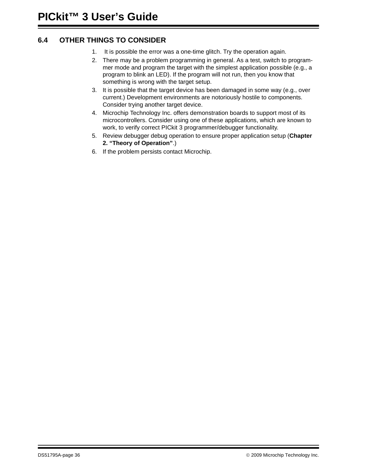## <span id="page-39-1"></span><span id="page-39-0"></span>**6.4 OTHER THINGS TO CONSIDER**

- 1. It is possible the error was a one-time glitch. Try the operation again.
- 2. There may be a problem programming in general. As a test, switch to programmer mode and program the target with the simplest application possible (e.g., a program to blink an LED). If the program will not run, then you know that something is wrong with the target setup.
- 3. It is possible that the target device has been damaged in some way (e.g., over current.) Development environments are notoriously hostile to components. Consider trying another target device.
- 4. Microchip Technology Inc. offers demonstration boards to support most of its microcontrollers. Consider using one of these applications, which are known to work, to verify correct PICkit 3 programmer/debugger functionality.
- 5. Review debugger debug operation to ensure proper application setup (**[Chapter](#page-18-0)  [2. "Theory of Operation"](#page-18-0)**.)
- 6. If the problem persists contact Microchip.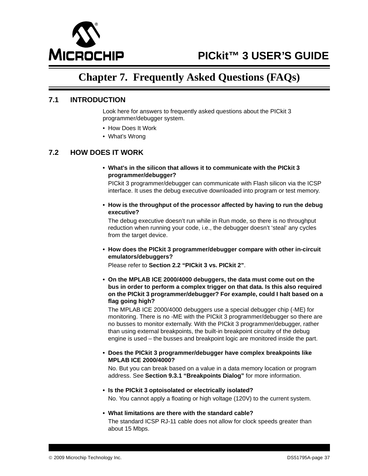

## <span id="page-40-0"></span>**Chapter 7. Frequently Asked Questions (FAQs)**

## **7.1 INTRODUCTION**

Look here for answers to frequently asked questions about the PICkit 3 programmer/debugger system.

- • [How Does It Work](#page-40-1)
- • [What's Wrong](#page-41-0)

## <span id="page-40-1"></span>**7.2 HOW DOES IT WORK**

**• What's in the silicon that allows it to communicate with the PICkit 3 programmer/debugger?**

PICkit 3 programmer/debugger can communicate with Flash silicon via the ICSP interface. It uses the debug executive downloaded into program or test memory.

**• How is the throughput of the processor affected by having to run the debug executive?**

The debug executive doesn't run while in Run mode, so there is no throughput reduction when running your code, i.e., the debugger doesn't 'steal' any cycles from the target device.

**• How does the PICkit 3 programmer/debugger compare with other in-circuit emulators/debuggers?**

Please refer to **[Section 2.2 "PICkit 3 vs. PICkit 2"](#page-18-1)**.

**• On the MPLAB ICE 2000/4000 debuggers, the data must come out on the bus in order to perform a complex trigger on that data. Is this also required on the PICkit 3 programmer/debugger? For example, could I halt based on a flag going high?**

The MPLAB ICE 2000/4000 debuggers use a special debugger chip (-ME) for monitoring. There is no -ME with the PICkit 3 programmer/debugger so there are no busses to monitor externally. With the PICkit 3 programmer/debugger, rather than using external breakpoints, the built-in breakpoint circuitry of the debug engine is used – the busses and breakpoint logic are monitored inside the part.

**• Does the PICkit 3 programmer/debugger have complex breakpoints like MPLAB ICE 2000/4000?**

No. But you can break based on a value in a data memory location or program address. See **[Section 9.3.1 "Breakpoints Dialog"](#page-54-0)** for more information.

- **Is the PICkit 3 optoisolated or electrically isolated?** No. You cannot apply a floating or high voltage (120V) to the current system.
- **What limitations are there with the standard cable?**

The standard ICSP RJ-11 cable does not allow for clock speeds greater than about 15 Mbps.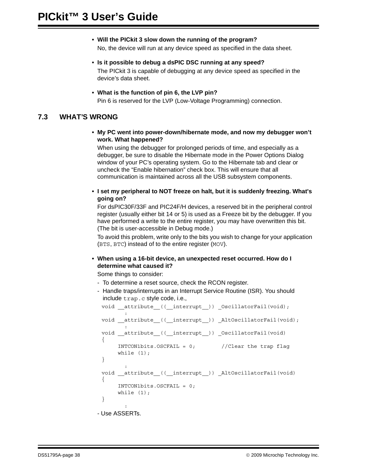- **Will the PICkit 3 slow down the running of the program?** No, the device will run at any device speed as specified in the data sheet.
- **Is it possible to debug a dsPIC DSC running at any speed?** The PICkit 3 is capable of debugging at any device speed as specified in the device's data sheet.
- **What is the function of pin 6, the LVP pin?** Pin 6 is reserved for the LVP (Low-Voltage Programming) connection.

## <span id="page-41-0"></span>**7.3 WHAT'S WRONG**

**• My PC went into power-down/hibernate mode, and now my debugger won't work. What happened?**

When using the debugger for prolonged periods of time, and especially as a debugger, be sure to disable the Hibernate mode in the Power Options Dialog window of your PC's operating system. Go to the Hibernate tab and clear or uncheck the "Enable hibernation" check box. This will ensure that all communication is maintained across all the USB subsystem components.

**• I set my peripheral to NOT freeze on halt, but it is suddenly freezing. What's going on?**

For dsPIC30F/33F and PIC24F/H devices, a reserved bit in the peripheral control register (usually either bit 14 or 5) is used as a Freeze bit by the debugger. If you have performed a write to the entire register, you may have overwritten this bit. (The bit is user-accessible in Debug mode.)

To avoid this problem, write only to the bits you wish to change for your application (BTS, BTC) instead of to the entire register (MOV).

**• When using a 16-bit device, an unexpected reset occurred. How do I determine what caused it?**

Some things to consider:

- To determine a reset source, check the RCON register.
- Handle traps/interrupts in an Interrupt Service Routine (ISR). You should include trap.c style code, i.e.,

```
void attribute (( interrupt )) OscillatorFail(void);
: 100 minutes
   void attribute (( interrupt )) AltOscillatorFail(void);
: 100 million 1
   void __attribute__((__interrupt__)) _OscillatorFail(void)
    {
        INTCOM1bits. OSCFAIL = 0; //Clear the trap flag
        while (1);
    }
: 100 million 1
   void __attribute__((__interrupt__)) _AltOscillatorFail(void)
    {
         INTCON1bits.OSCFAIL = 0;
         while (1);
    }
: 100 million 1
 - Use ASSERTs.
```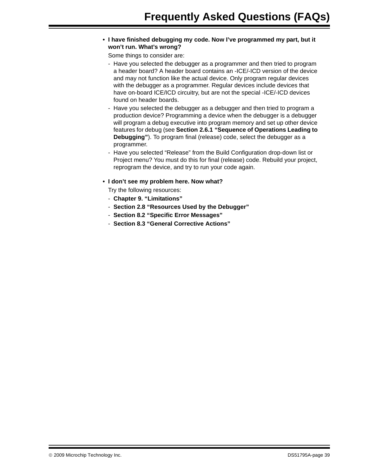**• I have finished debugging my code. Now I've programmed my part, but it won't run. What's wrong?**

Some things to consider are:

- Have you selected the debugger as a programmer and then tried to program a header board? A header board contains an -ICE/-ICD version of the device and may not function like the actual device. Only program regular devices with the debugger as a programmer. Regular devices include devices that have on-board ICE/ICD circuitry, but are not the special -ICE/-ICD devices found on header boards.
- Have you selected the debugger as a debugger and then tried to program a production device? Programming a device when the debugger is a debugger will program a debug executive into program memory and set up other device features for debug (see **[Section 2.6.1 "Sequence of Operations Leading to](#page-24-0)  [Debugging"](#page-24-0)**). To program final (release) code, select the debugger as a programmer.
- Have you selected "Release" from the Build Configuration drop-down list or Project menu? You must do this for final (release) code. Rebuild your project, reprogram the device, and try to run your code again.
- **I don't see my problem here. Now what?**

Try the following resources:

- **Chapter 9. "Limitations"**
- **[Section 2.8 "Resources Used by the Debugger"](#page-25-0)**
- **[Section 8.2 "Specific Error Messages"](#page-44-1)**
- **[Section 8.3 "General Corrective Actions"](#page-47-0)**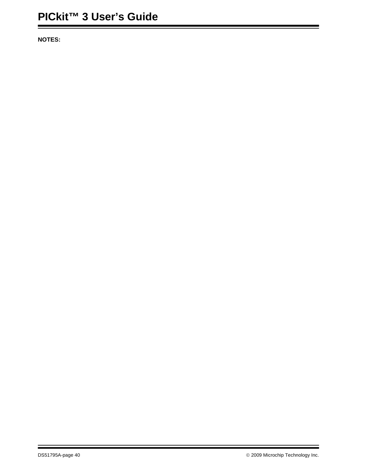**NOTES:**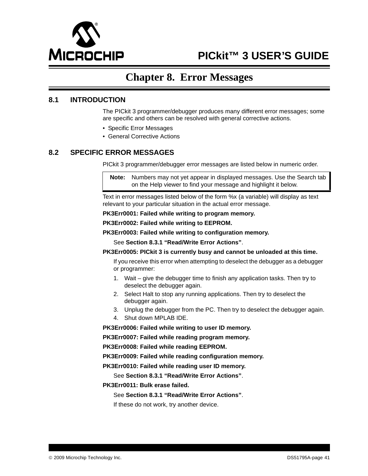

# <span id="page-44-0"></span>**PICkit™ 3 USER'S GUIDE**

## **Chapter 8. Error Messages**

## **8.1 INTRODUCTION**

The PICkit 3 programmer/debugger produces many different error messages; some are specific and others can be resolved with general corrective actions.

- • [Specific Error Messages](#page-44-2)
- • [General Corrective Actions](#page-47-1)

## <span id="page-44-2"></span><span id="page-44-1"></span>**8.2 SPECIFIC ERROR MESSAGES**

PICkit 3 programmer/debugger error messages are listed below in numeric order.

**Note:** Numbers may not yet appear in displayed messages. Use the Search tab on the Help viewer to find your message and highlight it below.

Text in error messages listed below of the form %x (a variable) will display as text relevant to your particular situation in the actual error message.

**PK3Err0001: Failed while writing to program memory.**

**PK3Err0002: Failed while writing to EEPROM.**

**PK3Err0003: Failed while writing to configuration memory.**

See **[Section 8.3.1 "Read/Write Error Actions"](#page-48-0)**.

#### **PK3Err0005: PICkit 3 is currently busy and cannot be unloaded at this time.**

If you receive this error when attempting to deselect the debugger as a debugger or programmer:

- 1. Wait give the debugger time to finish any application tasks. Then try to deselect the debugger again.
- 2. Select Halt to stop any running applications. Then try to deselect the debugger again.
- 3. Unplug the debugger from the PC. Then try to deselect the debugger again.
- 4. Shut down MPLAB IDE.

**PK3Err0006: Failed while writing to user ID memory.**

**PK3Err0007: Failed while reading program memory.**

**PK3Err0008: Failed while reading EEPROM.**

**PK3Err0009: Failed while reading configuration memory.**

**PK3Err0010: Failed while reading user ID memory.**

See **[Section 8.3.1 "Read/Write Error Actions"](#page-48-0)**.

**PK3Err0011: Bulk erase failed.**

See **[Section 8.3.1 "Read/Write Error Actions"](#page-48-0)**.

If these do not work, try another device.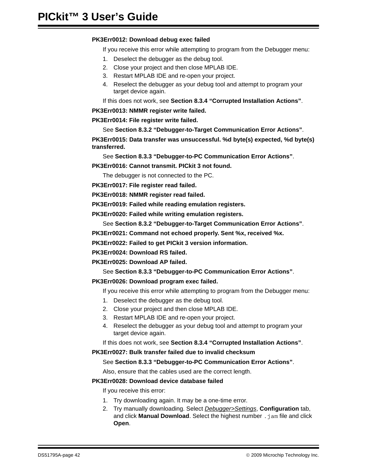## **PK3Err0012: Download debug exec failed**

If you receive this error while attempting to program from the Debugger menu:

- 1. Deselect the debugger as the debug tool.
- 2. Close your project and then close MPLAB IDE.
- 3. Restart MPLAB IDE and re-open your project.
- 4. Reselect the debugger as your debug tool and attempt to program your target device again.

If this does not work, see **[Section 8.3.4 "Corrupted Installation Actions"](#page-48-1)**.

#### **PK3Err0013: NMMR register write failed.**

**PK3Err0014: File register write failed.**

See **[Section 8.3.2 "Debugger-to-Target Communication Error Actions"](#page-48-2)**. **PK3Err0015: Data transfer was unsuccessful. %d byte(s) expected, %d byte(s) transferred.**

See **[Section 8.3.3 "Debugger-to-PC Communication Error Actions"](#page-48-3)**.

**PK3Err0016: Cannot transmit. PICkit 3 not found.**

The debugger is not connected to the PC.

**PK3Err0017: File register read failed.**

**PK3Err0018: NMMR register read failed.**

**PK3Err0019: Failed while reading emulation registers.**

**PK3Err0020: Failed while writing emulation registers.**

See **[Section 8.3.2 "Debugger-to-Target Communication Error Actions"](#page-48-2)**.

**PK3Err0021: Command not echoed properly. Sent %x, received %x.**

**PK3Err0022: Failed to get PICkit 3 version information.**

**PK3Err0024: Download RS failed.**

**PK3Err0025: Download AP failed.**

See **[Section 8.3.3 "Debugger-to-PC Communication Error Actions"](#page-48-3)**.

#### **PK3Err0026: Download program exec failed.**

If you receive this error while attempting to program from the Debugger menu:

- 1. Deselect the debugger as the debug tool.
- 2. Close your project and then close MPLAB IDE.
- 3. Restart MPLAB IDE and re-open your project.
- 4. Reselect the debugger as your debug tool and attempt to program your target device again.

If this does not work, see **[Section 8.3.4 "Corrupted Installation Actions"](#page-48-1)**.

#### **PK3Err0027: Bulk transfer failed due to invalid checksum**

## See **[Section 8.3.3 "Debugger-to-PC Communication Error Actions"](#page-48-3)**.

Also, ensure that the cables used are the correct length.

## **PK3Err0028: Download device database failed**

If you receive this error:

- 1. Try downloading again. It may be a one-time error.
- 2. Try manually downloading. Select *Debugger>Settings*, **Configuration** tab, and click **Manual Download**. Select the highest number . jam file and click **Open**.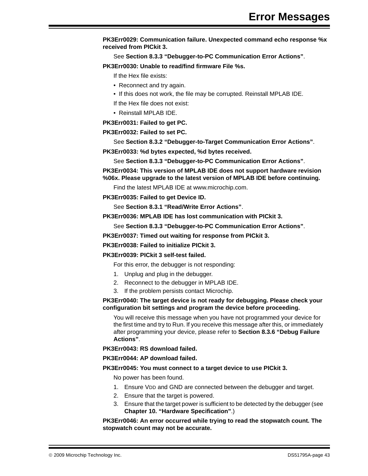## **PK3Err0029: Communication failure. Unexpected command echo response %x received from PICkit 3.**

See **[Section 8.3.3 "Debugger-to-PC Communication Error Actions"](#page-48-3)**.

#### **PK3Err0030: Unable to read/find firmware File %s.**

If the Hex file exists:

- Reconnect and try again.
- If this does not work, the file may be corrupted. Reinstall MPLAB IDE.

If the Hex file does not exist:

• Reinstall MPLAB IDE.

**PK3Err0031: Failed to get PC.**

**PK3Err0032: Failed to set PC.**

See **[Section 8.3.2 "Debugger-to-Target Communication Error Actions"](#page-48-2)**.

**PK3Err0033: %d bytes expected, %d bytes received.**

See **[Section 8.3.3 "Debugger-to-PC Communication Error Actions"](#page-48-3)**.

**PK3Err0034: This version of MPLAB IDE does not support hardware revision %06x. Please upgrade to the latest version of MPLAB IDE before continuing.**

Find the latest MPLAB IDE at [www.microchip.com](http://www.microchip.com/mplab).

**PK3Err0035: Failed to get Device ID.**

See **[Section 8.3.1 "Read/Write Error Actions"](#page-48-0)**.

**PK3Err0036: MPLAB IDE has lost communication with PICkit 3.**

See **[Section 8.3.3 "Debugger-to-PC Communication Error Actions"](#page-48-3)**.

**PK3Err0037: Timed out waiting for response from PICkit 3.**

**PK3Err0038: Failed to initialize PICkit 3.**

#### **PK3Err0039: PICkit 3 self-test failed.**

For this error, the debugger is not responding:

- 1. Unplug and plug in the debugger.
- 2. Reconnect to the debugger in MPLAB IDE.
- 3. If the problem persists contact Microchip.

#### **PK3Err0040: The target device is not ready for debugging. Please check your configuration bit settings and program the device before proceeding.**

You will receive this message when you have not programmed your device for the first time and try to Run. If you receive this message after this, or immediately after programming your device, please refer to **[Section 8.3.6 "Debug Failure](#page-48-4)  [Actions"](#page-48-4)**.

**PK3Err0043: RS download failed.**

#### **PK3Err0044: AP download failed.**

#### **PK3Err0045: You must connect to a target device to use PICkit 3.**

No power has been found.

- 1. Ensure VDD and GND are connected between the debugger and target.
- 2. Ensure that the target is powered.
- 3. Ensure that the target power is sufficient to be detected by the debugger (see **[Chapter 10. "Hardware Specification"](#page-62-0)**.)

**PK3Err0046: An error occurred while trying to read the stopwatch count. The stopwatch count may not be accurate.**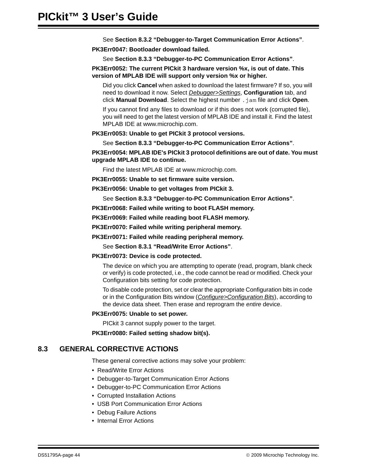See **[Section 8.3.2 "Debugger-to-Target Communication Error Actions"](#page-48-2)**.

**PK3Err0047: Bootloader download failed.**

See **[Section 8.3.3 "Debugger-to-PC Communication Error Actions"](#page-48-3)**.

**PK3Err0052: The current PICkit 3 hardware version %x, is out of date. This version of MPLAB IDE will support only version %x or higher.**

Did you click **Cancel** when asked to download the latest firmware? If so, you will need to download it now. Select *Debugger>Settings*, **Configuration** tab, and click **Manual Download**. Select the highest number .jam file and click **Open**.

If you cannot find any files to download or if this does not work (corrupted file), [you will need to get the latest version of MPLAB IDE and install it. Find the latest](http://www.microchip.com/mplab)  MPLAB IDE at www.microchip.com.

**PK3Err0053: Unable to get PICkit 3 protocol versions.**

See **[Section 8.3.3 "Debugger-to-PC Communication Error Actions"](#page-48-3)**.

**PK3Err0054: MPLAB IDE's PICkit 3 protocol definitions are out of date. You must upgrade MPLAB IDE to continue.**

Find the latest MPLAB IDE at [www.microchip.com](http://www.microchip.com/mplab).

**PK3Err0055: Unable to set firmware suite version.**

**PK3Err0056: Unable to get voltages from PICkit 3.**

See **[Section 8.3.3 "Debugger-to-PC Communication Error Actions"](#page-48-3)**.

**PK3Err0068: Failed while writing to boot FLASH memory.**

**PK3Err0069: Failed while reading boot FLASH memory.**

**PK3Err0070: Failed while writing peripheral memory.**

**PK3Err0071: Failed while reading peripheral memory.**

See **[Section 8.3.1 "Read/Write Error Actions"](#page-48-0)**.

**PK3Err0073: Device is code protected.**

The device on which you are attempting to operate (read, program, blank check or verify) is code protected, i.e., the code cannot be read or modified. Check your Configuration bits setting for code protection.

To disable code protection, set or clear the appropriate Configuration bits in code or in the Configuration Bits window (*Configure>Configuration Bits*), according to the device data sheet. Then erase and reprogram the *entire* device.

#### **PK3Err0075: Unable to set power.**

PICkit 3 cannot supply power to the target.

**PK3Err0080: Failed setting shadow bit(s).**

## <span id="page-47-1"></span><span id="page-47-0"></span>**8.3 GENERAL CORRECTIVE ACTIONS**

These general corrective actions may solve your problem:

- • [Read/Write Error Actions](#page-48-0)
- • [Debugger-to-Target Communication Error Actions](#page-48-2)
- • [Debugger-to-PC Communication Error Actions](#page-48-3)
- • [Corrupted Installation Actions](#page-48-1)
- • [USB Port Communication Error Actions](#page-48-5)
- • [Debug Failure Actions](#page-48-4)
- • [Internal Error Actions](#page-49-0)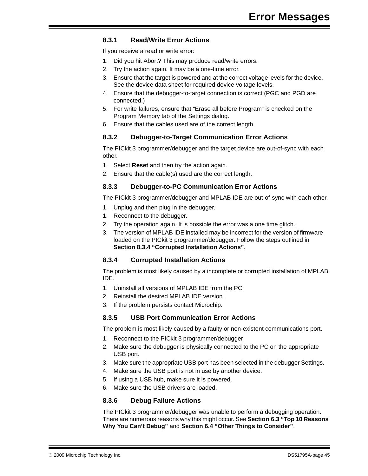## <span id="page-48-0"></span>**8.3.1 Read/Write Error Actions**

If you receive a read or write error:

- 1. Did you hit Abort? This may produce read/write errors.
- 2. Try the action again. It may be a one-time error.
- 3. Ensure that the target is powered and at the correct voltage levels for the device. See the device data sheet for required device voltage levels.
- 4. Ensure that the debugger-to-target connection is correct (PGC and PGD are connected.)
- 5. For write failures, ensure that "Erase all before Program" is checked on the Program Memory tab of the Settings dialog.
- 6. Ensure that the cables used are of the correct length.

## <span id="page-48-2"></span>**8.3.2 Debugger-to-Target Communication Error Actions**

The PICkit 3 programmer/debugger and the target device are out-of-sync with each other.

- 1. Select **Reset** and then try the action again.
- 2. Ensure that the cable(s) used are the correct length.

## <span id="page-48-3"></span>**8.3.3 Debugger-to-PC Communication Error Actions**

The PICkit 3 programmer/debugger and MPLAB IDE are out-of-sync with each other.

- 1. Unplug and then plug in the debugger.
- 1. Reconnect to the debugger.
- 2. Try the operation again. It is possible the error was a one time glitch.
- 3. The version of MPLAB IDE installed may be incorrect for the version of firmware loaded on the PICkit 3 programmer/debugger. Follow the steps outlined in **[Section 8.3.4 "Corrupted Installation Actions"](#page-48-1)**.

#### <span id="page-48-1"></span>**8.3.4 Corrupted Installation Actions**

The problem is most likely caused by a incomplete or corrupted installation of MPLAB IDE.

- 1. Uninstall all versions of MPLAB IDE from the PC.
- 2. Reinstall the desired MPLAB IDE version.
- 3. If the problem persists contact Microchip.

## <span id="page-48-5"></span>**8.3.5 USB Port Communication Error Actions**

The problem is most likely caused by a faulty or non-existent communications port.

- 1. Reconnect to the PICkit 3 programmer/debugger
- 2. Make sure the debugger is physically connected to the PC on the appropriate USB port.
- 3. Make sure the appropriate USB port has been selected in the debugger Settings.
- 4. Make sure the USB port is not in use by another device.
- 5. If using a USB hub, make sure it is powered.
- 6. Make sure the USB drivers are loaded.

#### <span id="page-48-4"></span>**8.3.6 Debug Failure Actions**

The PICkit 3 programmer/debugger was unable to perform a debugging operation. There are numerous reasons why this might occur. See **[Section 6.3 "Top 10 Reasons](#page-38-3)  [Why You Can't Debug"](#page-38-3)** and **[Section 6.4 "Other Things to Consider"](#page-39-1)**.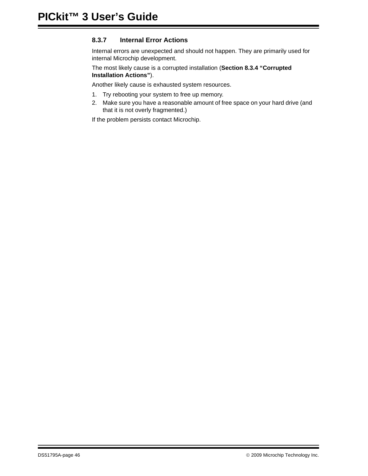## <span id="page-49-0"></span>**8.3.7 Internal Error Actions**

Internal errors are unexpected and should not happen. They are primarily used for internal Microchip development.

The most likely cause is a corrupted installation (**[Section 8.3.4 "Corrupted](#page-48-1)  [Installation Actions"](#page-48-1)**).

Another likely cause is exhausted system resources.

- 1. Try rebooting your system to free up memory.
- 2. Make sure you have a reasonable amount of free space on your hard drive (and that it is not overly fragmented.)

If the problem persists contact Microchip.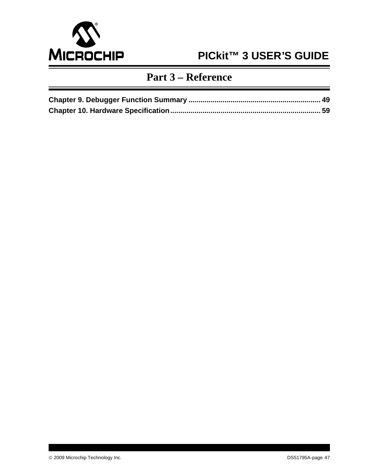

# **PICkit™ 3 USER'S GUIDE**

# **Part 3 – Reference**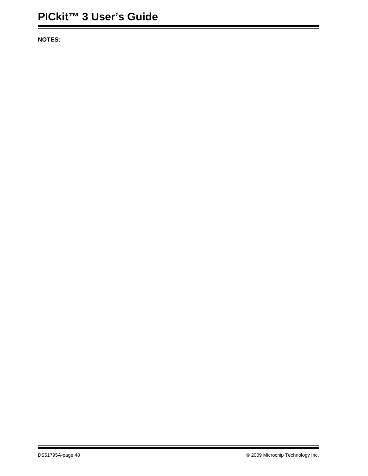**NOTES:**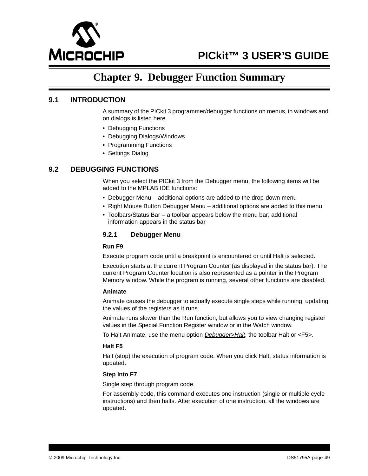

# <span id="page-52-0"></span>**Chapter 9. Debugger Function Summary**

## **9.1 INTRODUCTION**

A summary of the PICkit 3 programmer/debugger functions on menus, in windows and on dialogs is listed here.

- • [Debugging Functions](#page-52-2)
- • [Debugging Dialogs/Windows](#page-54-3)
- • [Programming Functions](#page-58-0)
- • [Settings Dialog](#page-59-0)

## <span id="page-52-2"></span>**9.2 DEBUGGING FUNCTIONS**

When you select the PICkit 3 from the Debugger menu, the following items will be added to the MPLAB IDE functions:

- • [Debugger Menu](#page-52-1)  additional options are added to the drop-down menu
- • [Right Mouse Button Debugger Menu](#page-54-1) additional options are added to this menu
- • [Toolbars/Status Bar](#page-54-2)  a toolbar appears below the menu bar; additional information appears in the status bar

#### <span id="page-52-1"></span>**9.2.1 Debugger Menu**

#### **Run F9**

Execute program code until a breakpoint is encountered or until Halt is selected.

Execution starts at the current Program Counter (as displayed in the status bar). The current Program Counter location is also represented as a pointer in the Program Memory window. While the program is running, several other functions are disabled.

#### **Animate**

Animate causes the debugger to actually execute single steps while running, updating the values of the registers as it runs.

Animate runs slower than the Run function, but allows you to view changing register values in the Special Function Register window or in the Watch window.

To Halt Animate, use the menu option *Debugger>Halt*, the toolbar Halt or <F5>.

#### **Halt F5**

Halt (stop) the execution of program code. When you click Halt, status information is updated.

#### **Step Into F7**

Single step through program code.

For assembly code, this command executes one instruction (single or multiple cycle instructions) and then halts. After execution of one instruction, all the windows are updated.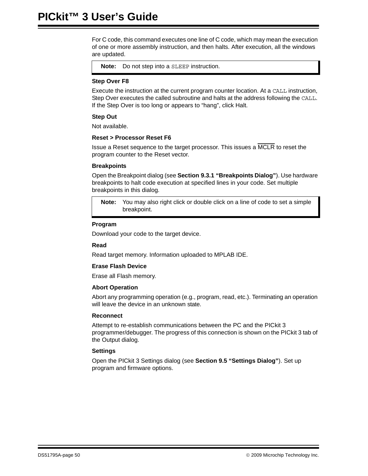For C code, this command executes one line of C code, which may mean the execution of one or more assembly instruction, and then halts. After execution, all the windows are updated.

**Note:** Do not step into a SLEEP instruction.

#### **Step Over F8**

Execute the instruction at the current program counter location. At a CALL instruction, Step Over executes the called subroutine and halts at the address following the CALL. If the Step Over is too long or appears to "hang", click Halt.

## **Step Out**

Not available.

#### **Reset > Processor Reset F6**

Issue a Reset sequence to the target processor. This issues a MCLR to reset the program counter to the Reset vector.

## **Breakpoints**

Open the Breakpoint dialog (see **[Section 9.3.1 "Breakpoints Dialog"](#page-54-4)**). Use hardware breakpoints to halt code execution at specified lines in your code. Set multiple breakpoints in this dialog.

**Note:** You may also right click or double click on a line of code to set a simple breakpoint.

## **Program**

Download your code to the target device.

#### **Read**

Read target memory. Information uploaded to MPLAB IDE.

#### **Erase Flash Device**

Erase all Flash memory.

#### **Abort Operation**

Abort any programming operation (e.g., program, read, etc.). Terminating an operation will leave the device in an unknown state.

#### **Reconnect**

Attempt to re-establish communications between the PC and the PICkit 3 programmer/debugger. The progress of this connection is shown on the PICkit 3 tab of the Output dialog.

#### **Settings**

Open the PICkit 3 Settings dialog (see **[Section 9.5 "Settings Dialog"](#page-59-0)**). Set up program and firmware options.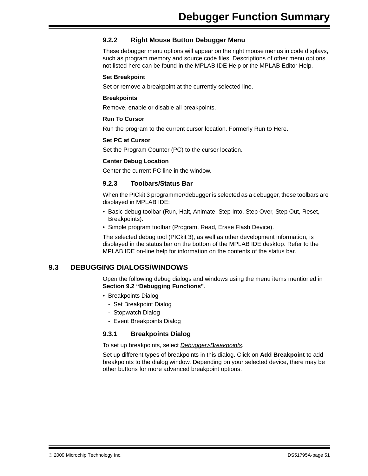## <span id="page-54-1"></span>**9.2.2 Right Mouse Button Debugger Menu**

These debugger menu options will appear on the right mouse menus in code displays, such as program memory and source code files. Descriptions of other menu options not listed here can be found in the MPLAB IDE Help or the MPLAB Editor Help.

#### **Set Breakpoint**

Set or remove a breakpoint at the currently selected line.

#### **Breakpoints**

Remove, enable or disable all breakpoints.

#### **Run To Cursor**

Run the program to the current cursor location. Formerly Run to Here.

#### **Set PC at Cursor**

Set the Program Counter (PC) to the cursor location.

#### **Center Debug Location**

Center the current PC line in the window.

## <span id="page-54-2"></span>**9.2.3 Toolbars/Status Bar**

When the PICkit 3 programmer/debugger is selected as a debugger, these toolbars are displayed in MPLAB IDE:

- Basic debug toolbar (Run, Halt, Animate, Step Into, Step Over, Step Out, Reset, Breakpoints).
- Simple program toolbar (Program, Read, Erase Flash Device).

The selected debug tool (PICkit 3), as well as other development information, is displayed in the status bar on the bottom of the MPLAB IDE desktop. Refer to the MPLAB IDE on-line help for information on the contents of the status bar.

## <span id="page-54-3"></span>**9.3 DEBUGGING DIALOGS/WINDOWS**

Open the following debug dialogs and windows using the menu items mentioned in **[Section 9.2 "Debugging Functions"](#page-52-2)**.

- • [Breakpoints Dialog](#page-54-4)
	- - [Set Breakpoint Dialog](#page-56-0)
	- - [Stopwatch Dialog](#page-57-0)
	- - [Event Breakpoints Dialog](#page-57-1)

## <span id="page-54-4"></span><span id="page-54-0"></span>**9.3.1 Breakpoints Dialog**

To set up breakpoints, select *Debugger>Breakpoints*.

Set up different types of breakpoints in this dialog. Click on **Add Breakpoint** to add breakpoints to the dialog window. Depending on your selected device, there may be other buttons for more advanced breakpoint options.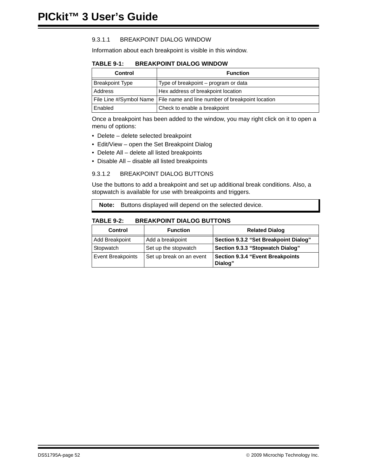## 9.3.1.1 BREAKPOINT DIALOG WINDOW

Information about each breakpoint is visible in this window.

#### **TABLE 9-1: BREAKPOINT DIALOG WINDOW**

| Control                | <b>Function</b>                                                            |
|------------------------|----------------------------------------------------------------------------|
| <b>Breakpoint Type</b> | Type of breakpoint – program or data                                       |
| Address                | Hex address of breakpoint location                                         |
|                        | File Line #/Symbol Name   File name and line number of breakpoint location |
| Enabled                | Check to enable a breakpoint                                               |

Once a breakpoint has been added to the window, you may right click on it to open a menu of options:

- Delete delete selected breakpoint
- Edit/View open the [Set Breakpoint Dialog](#page-56-0)
- Delete All delete all listed breakpoints
- Disable All disable all listed breakpoints

## 9.3.1.2 BREAKPOINT DIALOG BUTTONS

Use the buttons to add a breakpoint and set up additional break conditions. Also, a stopwatch is available for use with breakpoints and triggers.

**Note:** Buttons displayed will depend on the selected device.

## **TABLE 9-2: BREAKPOINT DIALOG BUTTONS**

| Control           | <b>Function</b>          | <b>Related Dialog</b>                               |
|-------------------|--------------------------|-----------------------------------------------------|
| Add Breakpoint    | Add a breakpoint         | Section 9.3.2 "Set Breakpoint Dialog"               |
| Stopwatch         | Set up the stopwatch     | Section 9.3.3 "Stopwatch Dialog"                    |
| Event Breakpoints | Set up break on an event | <b>Section 9.3.4 "Event Breakpoints"</b><br>Dialog" |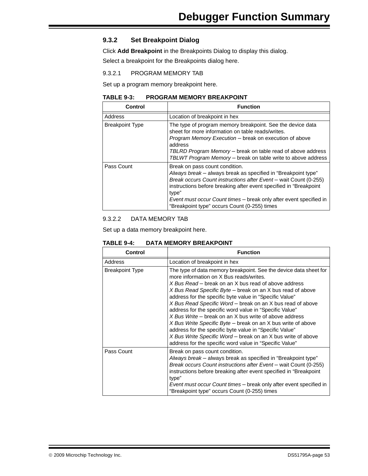## <span id="page-56-0"></span>**9.3.2 Set Breakpoint Dialog**

Click **Add Breakpoint** in the [Breakpoints Dialog](#page-54-4) to display this dialog.

Select a breakpoint for the Breakpoints dialog here.

## 9.3.2.1 PROGRAM MEMORY TAB

Set up a program memory breakpoint here.

#### **TABLE 9-3: PROGRAM MEMORY BREAKPOINT**

| Control                | <b>Function</b>                                                                                                                                                                                                                                                                                                                                                          |
|------------------------|--------------------------------------------------------------------------------------------------------------------------------------------------------------------------------------------------------------------------------------------------------------------------------------------------------------------------------------------------------------------------|
| Address                | Location of breakpoint in hex                                                                                                                                                                                                                                                                                                                                            |
| <b>Breakpoint Type</b> | The type of program memory breakpoint. See the device data<br>sheet for more information on table reads/writes.<br>Program Memory Execution – break on execution of above<br>address<br>TBLRD Program Memory – break on table read of above address<br>TBLWT Program Memory – break on table write to above address                                                      |
| Pass Count             | Break on pass count condition.<br>Always break - always break as specified in "Breakpoint type"<br>Break occurs Count instructions after Event – wait Count (0-255)<br>instructions before breaking after event specified in "Breakpoint"<br>type"<br>Event must occur Count times – break only after event specified in<br>"Breakpoint type" occurs Count (0-255) times |

## 9.3.2.2 DATA MEMORY TAB

Set up a data memory breakpoint here.

## **TABLE 9-4: DATA MEMORY BREAKPOINT**

| Control                | <b>Function</b>                                                                                                                                                                                                                                                                                                                                                                                                                                                                                                                                                                                                                                                                                                                        |
|------------------------|----------------------------------------------------------------------------------------------------------------------------------------------------------------------------------------------------------------------------------------------------------------------------------------------------------------------------------------------------------------------------------------------------------------------------------------------------------------------------------------------------------------------------------------------------------------------------------------------------------------------------------------------------------------------------------------------------------------------------------------|
| Address                | Location of breakpoint in hex                                                                                                                                                                                                                                                                                                                                                                                                                                                                                                                                                                                                                                                                                                          |
| <b>Breakpoint Type</b> | The type of data memory breakpoint. See the device data sheet for<br>more information on X Bus reads/writes.<br>X Bus Read – break on an X bus read of above address<br>X Bus Read Specific Byte – break on an X bus read of above<br>address for the specific byte value in "Specific Value"<br>X Bus Read Specific Word - break on an X bus read of above<br>address for the specific word value in "Specific Value"<br>X Bus Write – break on an X bus write of above address<br>X Bus Write Specific Byte – break on an X bus write of above<br>address for the specific byte value in "Specific Value"<br>X Bus Write Specific Word – break on an X bus write of above<br>address for the specific word value in "Specific Value" |
| Pass Count             | Break on pass count condition.<br>Always break – always break as specified in "Breakpoint type"<br>Break occurs Count instructions after Event - wait Count (0-255)<br>instructions before breaking after event specified in "Breakpoint"<br>type"<br>Event must occur Count times – break only after event specified in<br>"Breakpoint type" occurs Count (0-255) times                                                                                                                                                                                                                                                                                                                                                               |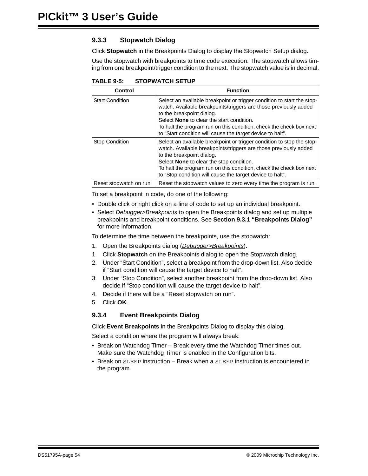## <span id="page-57-0"></span>**9.3.3 Stopwatch Dialog**

Click **Stopwatch** in the [Breakpoints Dialog](#page-54-4) to display the Stopwatch Setup dialog.

Use the stopwatch with breakpoints to time code execution. The stopwatch allows timing from one breakpoint/trigger condition to the next. The stopwatch value is in decimal.

**TABLE 9-5: STOPWATCH SETUP**

| Control                | <b>Function</b>                                                                                                                                                                                                                                                                                                                                                  |
|------------------------|------------------------------------------------------------------------------------------------------------------------------------------------------------------------------------------------------------------------------------------------------------------------------------------------------------------------------------------------------------------|
| <b>Start Condition</b> | Select an available breakpoint or trigger condition to start the stop-<br>watch. Available breakpoints/triggers are those previously added<br>to the breakpoint dialog.<br>Select <b>None</b> to clear the start condition.<br>To halt the program run on this condition, check the check box next<br>to "Start condition will cause the target device to halt". |
| <b>Stop Condition</b>  | Select an available breakpoint or trigger condition to stop the stop-<br>watch. Available breakpoints/triggers are those previously added<br>to the breakpoint dialog.<br>Select <b>None</b> to clear the stop condition.<br>To halt the program run on this condition, check the check box next<br>to "Stop condition will cause the target device to halt".    |
| Reset stopwatch on run | Reset the stopwatch values to zero every time the program is run.                                                                                                                                                                                                                                                                                                |

To set a breakpoint in code, do one of the following:

- Double click or right click on a line of code to set up an individual breakpoint.
- Select *Debugger>Breakpoints* to open the Breakpoints dialog and set up multiple breakpoints and breakpoint conditions. See **[Section 9.3.1 "Breakpoints Dialog"](#page-54-4)** for more information.

To determine the time between the breakpoints, use the stopwatch:

- 1. Open the Breakpoints dialog (*Debugger>Breakpoints*).
- 1. Click **Stopwatch** on the Breakpoints dialog to open the Stopwatch dialog.
- 2. Under "Start Condition", select a breakpoint from the drop-down list. Also decide if "Start condition will cause the target device to halt".
- 3. Under "Stop Condition", select another breakpoint from the drop-down list. Also decide if "Stop condition will cause the target device to halt".
- 4. Decide if there will be a "Reset stopwatch on run".
- 5. Click **OK**.

## <span id="page-57-1"></span>**9.3.4 Event Breakpoints Dialog**

Click **Event Breakpoints** in the [Breakpoints Dialog](#page-54-4) to display this dialog.

Select a condition where the program will always break:

- Break on Watchdog Timer Break every time the Watchdog Timer times out. Make sure the Watchdog Timer is enabled in the Configuration bits.
- Break on SLEEP instruction Break when a SLEEP instruction is encountered in the program.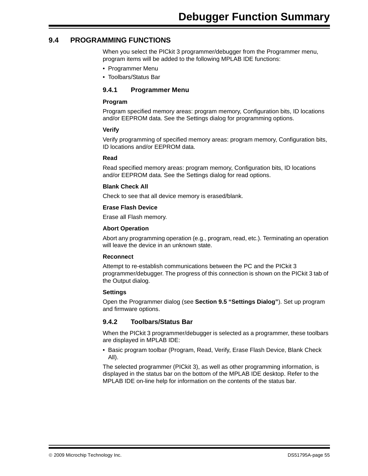## <span id="page-58-0"></span>**9.4 PROGRAMMING FUNCTIONS**

When you select the PICkit 3 programmer/debugger from the Programmer menu, program items will be added to the following MPLAB IDE functions:

- • [Programmer Menu](#page-58-1)
- • [Toolbars/Status Bar](#page-58-2)

## <span id="page-58-1"></span>**9.4.1 Programmer Menu**

#### **Program**

Program specified memory areas: program memory, Configuration bits, ID locations and/or EEPROM data. See the Settings dialog for programming options.

#### **Verify**

Verify programming of specified memory areas: program memory, Configuration bits, ID locations and/or EEPROM data.

#### **Read**

Read specified memory areas: program memory, Configuration bits, ID locations and/or EEPROM data. See the Settings dialog for read options.

#### **Blank Check All**

Check to see that all device memory is erased/blank.

#### **Erase Flash Device**

Erase all Flash memory.

#### **Abort Operation**

Abort any programming operation (e.g., program, read, etc.). Terminating an operation will leave the device in an unknown state.

#### **Reconnect**

Attempt to re-establish communications between the PC and the PICkit 3 programmer/debugger. The progress of this connection is shown on the PICkit 3 tab of the Output dialog.

#### **Settings**

Open the Programmer dialog (see **[Section 9.5 "Settings Dialog"](#page-59-0)**). Set up program and firmware options.

## <span id="page-58-2"></span>**9.4.2 Toolbars/Status Bar**

When the PICkit 3 programmer/debugger is selected as a programmer, these toolbars are displayed in MPLAB IDE:

• Basic program toolbar (Program, Read, Verify, Erase Flash Device, Blank Check All).

The selected programmer (PICkit 3), as well as other programming information, is displayed in the status bar on the bottom of the MPLAB IDE desktop. Refer to the MPLAB IDE on-line help for information on the contents of the status bar.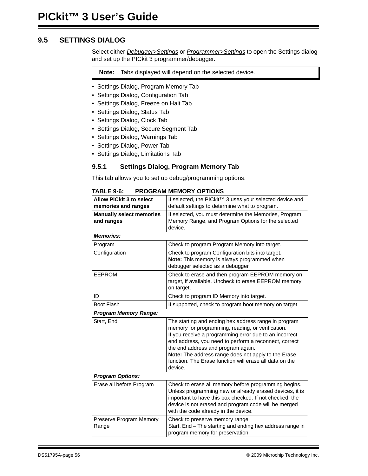## <span id="page-59-0"></span>**9.5 SETTINGS DIALOG**

Select either *Debugger>Settings* or *Programmer>Settings* to open the Settings dialog and set up the PICkit 3 programmer/debugger.

**Note:** Tabs displayed will depend on the selected device.

- • [Settings Dialog, Program Memory Tab](#page-59-1)
- • [Settings Dialog, Configuration Tab](#page-60-0)
- • [Settings Dialog, Freeze on Halt Tab](#page-60-2)
- • [Settings Dialog, Status Tab](#page-60-1)
- • [Settings Dialog, Clock Tab](#page-61-1)
- • [Settings Dialog, Secure Segment Tab](#page-61-4)
- • [Settings Dialog, Warnings Tab](#page-61-3)
- • [Settings Dialog, Power Tab](#page-61-0)
- • [Settings Dialog, Limitations Tab](#page-61-2)

## <span id="page-59-1"></span>**9.5.1 Settings Dialog, Program Memory Tab**

This tab allows you to set up debug/programming options.

## **TABLE 9-6: PROGRAM MEMORY OPTIONS**

| <b>Allow PICkit 3 to select</b><br>memories and ranges | If selected, the PICkit™ 3 uses your selected device and<br>default settings to determine what to program.                                                                                                                                                                                                                                                                                      |
|--------------------------------------------------------|-------------------------------------------------------------------------------------------------------------------------------------------------------------------------------------------------------------------------------------------------------------------------------------------------------------------------------------------------------------------------------------------------|
| <b>Manually select memories</b><br>and ranges          | If selected, you must determine the Memories, Program<br>Memory Range, and Program Options for the selected<br>device.                                                                                                                                                                                                                                                                          |
| <b>Memories:</b>                                       |                                                                                                                                                                                                                                                                                                                                                                                                 |
| Program                                                | Check to program Program Memory into target.                                                                                                                                                                                                                                                                                                                                                    |
| Configuration                                          | Check to program Configuration bits into target.<br>Note: This memory is always programmed when<br>debugger selected as a debugger.                                                                                                                                                                                                                                                             |
| <b>EEPROM</b>                                          | Check to erase and then program EEPROM memory on<br>target, if available. Uncheck to erase EEPROM memory<br>on target.                                                                                                                                                                                                                                                                          |
| ID                                                     | Check to program ID Memory into target.                                                                                                                                                                                                                                                                                                                                                         |
| Boot Flash                                             | If supported, check to program boot memory on target                                                                                                                                                                                                                                                                                                                                            |
| <b>Program Memory Range:</b>                           |                                                                                                                                                                                                                                                                                                                                                                                                 |
| Start, End                                             | The starting and ending hex address range in program<br>memory for programming, reading, or verification.<br>If you receive a programming error due to an incorrect<br>end address, you need to perform a reconnect, correct<br>the end address and program again.<br>Note: The address range does not apply to the Erase<br>function. The Erase function will erase all data on the<br>device. |
| <b>Program Options:</b>                                |                                                                                                                                                                                                                                                                                                                                                                                                 |
| Erase all before Program                               | Check to erase all memory before programming begins.<br>Unless programming new or already erased devices, it is<br>important to have this box checked. If not checked, the<br>device is not erased and program code will be merged<br>with the code already in the device.                                                                                                                      |
| Preserve Program Memory<br>Range                       | Check to preserve memory range.<br>Start, End - The starting and ending hex address range in<br>program memory for preservation.                                                                                                                                                                                                                                                                |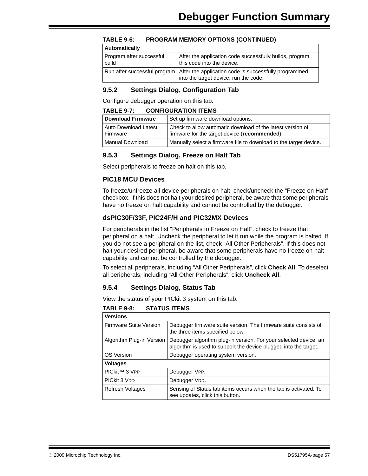## **TABLE 9-6: PROGRAM MEMORY OPTIONS (CONTINUED)**

| <b>Automatically</b>              |                                                                                                                               |
|-----------------------------------|-------------------------------------------------------------------------------------------------------------------------------|
| Program after successful<br>build | After the application code successfully builds, program<br>this code into the device.                                         |
|                                   | Run after successful program   After the application code is successfully programmed<br>into the target device, run the code. |

## <span id="page-60-0"></span>**9.5.2 Settings Dialog, Configuration Tab**

Configure debugger operation on this tab.

#### **TABLE 9-7: CONFIGURATION ITEMS**

| l Download Firmware                | Set up firmware download options.                                                                           |
|------------------------------------|-------------------------------------------------------------------------------------------------------------|
| Auto Download Latest<br>l Firmware | Check to allow automatic download of the latest version of<br>firmware for the target device (recommended). |
| Manual Download                    | Manually select a firmware file to download to the target device.                                           |

## <span id="page-60-2"></span>**9.5.3 Settings Dialog, Freeze on Halt Tab**

Select peripherals to freeze on halt on this tab.

## **PIC18 MCU Devices**

To freeze/unfreeze all device peripherals on halt, check/uncheck the "Freeze on Halt" checkbox. If this does not halt your desired peripheral, be aware that some peripherals have no freeze on halt capability and cannot be controlled by the debugger.

## **dsPIC30F/33F, PIC24F/H and PIC32MX Devices**

For peripherals in the list "Peripherals to Freeze on Halt", check to freeze that peripheral on a halt. Uncheck the peripheral to let it run while the program is halted. If you do not see a peripheral on the list, check "All Other Peripherals". If this does not halt your desired peripheral, be aware that some peripherals have no freeze on halt capability and cannot be controlled by the debugger.

To select all peripherals, including "All Other Peripherals", click **Check All**. To deselect all peripherals, including "All Other Peripherals", click **Uncheck All**.

## <span id="page-60-1"></span>**9.5.4 Settings Dialog, Status Tab**

View the status of your PICkit 3 system on this tab.

**TABLE 9-8: STATUS ITEMS**

| <b>Versions</b>               |                                                                                                                                      |
|-------------------------------|--------------------------------------------------------------------------------------------------------------------------------------|
| <b>Firmware Suite Version</b> | Debugger firmware suite version. The firmware suite consists of<br>the three items specified below.                                  |
| Algorithm Plug-in Version     | Debugger algorithm plug-in version. For your selected device, an<br>algorithm is used to support the device plugged into the target. |
| OS Version                    | Debugger operating system version.                                                                                                   |
| <b>Voltages</b>               |                                                                                                                                      |
| PICkit <sup>™</sup> 3 VPP     | Debugger VPP.                                                                                                                        |
| PICkit 3 VDD                  | Debugger VDD.                                                                                                                        |
| <b>Refresh Voltages</b>       | Sensing of Status tab items occurs when the tab is activated. To<br>see updates, click this button.                                  |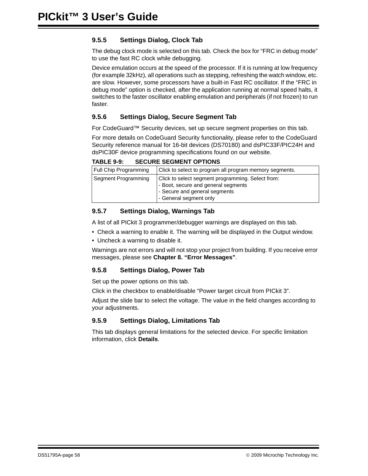## <span id="page-61-1"></span>**9.5.5 Settings Dialog, Clock Tab**

The debug clock mode is selected on this tab. Check the box for "FRC in debug mode" to use the fast RC clock while debugging.

Device emulation occurs at the speed of the processor. If it is running at low frequency (for example 32kHz), all operations such as stepping, refreshing the watch window, etc. are slow. However, some processors have a built-in Fast RC oscillator. If the "FRC in debug mode" option is checked, after the application running at normal speed halts, it switches to the faster oscillator enabling emulation and peripherals (if not frozen) to run faster.

## <span id="page-61-4"></span>**9.5.6 Settings Dialog, Secure Segment Tab**

For CodeGuard™ Security devices, set up secure segment properties on this tab.

[For more details on CodeGuard Security functionality, please refer to the CodeGuard](http://www.microchip.com/codeguard)  Security reference manual for 16-bit devices (DS70180) and dsPIC33F/PIC24H and dsPIC30F device programming specifications found on our website.

**TABLE 9-9: SECURE SEGMENT OPTIONS**

| Full Chip Programming | Click to select to program all program memory segments.                                                                                             |
|-----------------------|-----------------------------------------------------------------------------------------------------------------------------------------------------|
| Segment Programming   | Click to select segment programming. Select from:<br>- Boot, secure and general segments<br>- Secure and general segments<br>- General segment only |

## <span id="page-61-3"></span>**9.5.7 Settings Dialog, Warnings Tab**

A list of all PICkit 3 programmer/debugger warnings are displayed on this tab.

- Check a warning to enable it. The warning will be displayed in the Output window.
- Uncheck a warning to disable it.

Warnings are not errors and will not stop your project from building. If you receive error messages, please see **[Chapter 8. "Error Messages"](#page-44-0)**.

## <span id="page-61-0"></span>**9.5.8 Settings Dialog, Power Tab**

Set up the power options on this tab.

Click in the checkbox to enable/disable "Power target circuit from PICkit 3".

Adjust the slide bar to select the voltage. The value in the field changes according to your adjustments.

## <span id="page-61-2"></span>**9.5.9 Settings Dialog, Limitations Tab**

This tab displays general limitations for the selected device. For specific limitation information, click **Details**.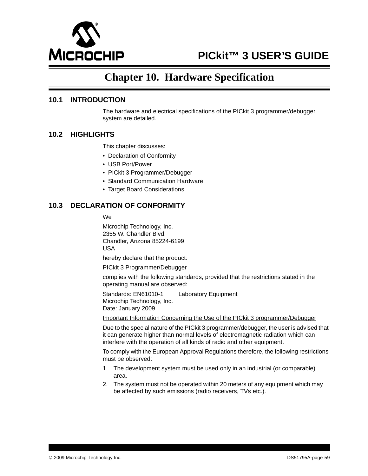

## <span id="page-62-0"></span>**Chapter 10. Hardware Specification**

## **10.1 INTRODUCTION**

The hardware and electrical specifications of the PICkit 3 programmer/debugger system are detailed.

## **10.2 HIGHLIGHTS**

This chapter discusses:

- • [Declaration of Conformity](#page-62-1)
- • [USB Port/Power](#page-63-1)
- • [PICkit 3 Programmer/Debugger](#page-63-0)
- • [Standard Communication Hardware](#page-64-0)
- • [Target Board Considerations](#page-66-0)

## <span id="page-62-1"></span>**10.3 DECLARATION OF CONFORMITY**

**We** 

Microchip Technology, Inc. 2355 W. Chandler Blvd. Chandler, Arizona 85224-6199 USA

hereby declare that the product:

PICkit 3 Programmer/Debugger

complies with the following standards, provided that the restrictions stated in the operating manual are observed:

Standards: EN61010-1 Laboratory Equipment Microchip Technology, Inc. Date: January 2009

Important Information Concerning the Use of the PICkit 3 programmer/Debugger

Due to the special nature of the PICkit 3 programmer/debugger, the user is advised that it can generate higher than normal levels of electromagnetic radiation which can interfere with the operation of all kinds of radio and other equipment.

To comply with the European Approval Regulations therefore, the following restrictions must be observed:

- 1. The development system must be used only in an industrial (or comparable) area.
- 2. The system must not be operated within 20 meters of any equipment which may be affected by such emissions (radio receivers, TVs etc.).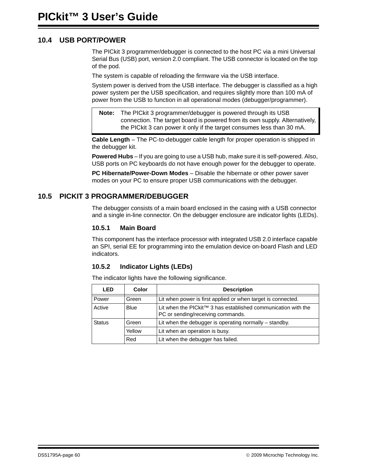## <span id="page-63-1"></span>**10.4 USB PORT/POWER**

The PICkit 3 programmer/debugger is connected to the host PC via a mini Universal Serial Bus (USB) port, version 2.0 compliant. The USB connector is located on the top of the pod.

The system is capable of reloading the firmware via the USB interface.

System power is derived from the USB interface. The debugger is classified as a high power system per the USB specification, and requires slightly more than 100 mA of power from the USB to function in all operational modes (debugger/programmer).

**Note:** The PICkit 3 programmer/debugger is powered through its USB connection. The target board is powered from its own supply. Alternatively, the PICkit 3 can power it only if the target consumes less than 30 mA.

**Cable Length** – The PC-to-debugger cable length for proper operation is shipped in the debugger kit.

**Powered Hubs** – If you are going to use a USB hub, make sure it is self-powered. Also, USB ports on PC keyboards do not have enough power for the debugger to operate.

**PC Hibernate/Power-Down Modes** – Disable the hibernate or other power saver modes on your PC to ensure proper USB communications with the debugger.

## <span id="page-63-0"></span>**10.5 PICKIT 3 PROGRAMMER/DEBUGGER**

The debugger consists of a main board enclosed in the casing with a USB connector and a single in-line connector. On the debugger enclosure are indicator lights (LEDs).

#### **10.5.1 Main Board**

This component has the interface processor with integrated USB 2.0 interface capable an SPI, serial EE for programming into the emulation device on-board Flash and LED indicators.

## **10.5.2 Indicator Lights (LEDs)**

The indicator lights have the following significance.

| <b>LED</b>    | Color       | <b>Description</b>                                                                                  |
|---------------|-------------|-----------------------------------------------------------------------------------------------------|
| Power         | Green       | Lit when power is first applied or when target is connected.                                        |
| Active        | <b>Blue</b> | Lit when the PIC kit™ 3 has established communication with the<br>PC or sending/receiving commands. |
| <b>Status</b> | Green       | Lit when the debugger is operating normally $-$ standby.                                            |
|               | Yellow      | Lit when an operation is busy.                                                                      |
|               | Red         | Lit when the debugger has failed.                                                                   |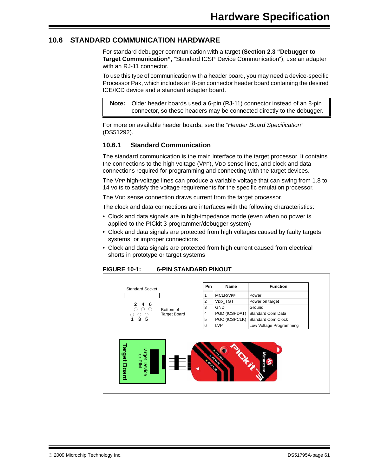## <span id="page-64-0"></span>**10.6 STANDARD COMMUNICATION HARDWARE**

For standard debugger communication with a target (**[Section 2.3 "Debugger to](#page-18-2)  [Target Communication"](#page-18-2)**, "[Standard ICSP Device Communication"](#page-18-3)), use an adapter with an RJ-11 connector.

To use this type of communication with a header board, you may need a device-specific Processor Pak, which includes an 8-pin connector header board containing the desired ICE/ICD device and a standard adapter board.

**Note:** Older header boards used a 6-pin (RJ-11) connector instead of an 8-pin connector, so these headers may be connected directly to the debugger.

For more on available header boards, see the "*Header Board Specification"* (DS51292).

## **10.6.1 Standard Communication**

The standard communication is the main interface to the target processor. It contains the connections to the high voltage (VPP), VDD sense lines, and clock and data connections required for programming and connecting with the target devices.

The VPP high-voltage lines can produce a variable voltage that can swing from 1.8 to 14 volts to satisfy the voltage requirements for the specific emulation processor.

The VDD sense connection draws current from the target processor.

The clock and data connections are interfaces with the following characteristics:

- Clock and data signals are in high-impedance mode (even when no power is applied to the PICkit 3 programmer/debugger system)
- Clock and data signals are protected from high voltages caused by faulty targets systems, or improper connections
- Clock and data signals are protected from high current caused from electrical shorts in prototype or target systems



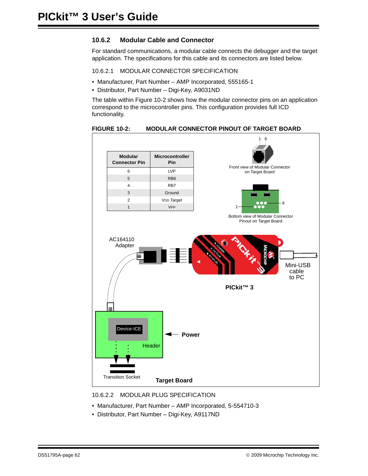## **10.6.2 Modular Cable and Connector**

For standard communications, a modular cable connects the debugger and the target application. The specifications for this cable and its connectors are listed below.

## 10.6.2.1 MODULAR CONNECTOR SPECIFICATION

- Manufacturer, Part Number AMP Incorporated, 555165-1
- Distributor, Part Number Digi-Key, A9031ND

The table within [Figure 10-2](#page-65-0) shows how the modular connector pins on an application correspond to the microcontroller pins. This configuration provides full ICD functionality.

1 6 **Microcontroller Modular Connector Pin Pin** Front view of Modular Connector 6 LVP on Target Board 5 RB6 4 RB7 3 Ground 2 VDD Target 6 1 VPP | 1 Bottom view of Modular Connector Pinout on Target Board AC164110 Adapter Ε Mini-USB cableto PC **PICkit™ 3**  $\mathbf{u}$ Device-ICE **Power Header Transition Socket Target Board** 

## <span id="page-65-0"></span>**FIGURE 10-2: MODULAR CONNECTOR PINOUT OF TARGET BOARD**

10.6.2.2 MODULAR PLUG SPECIFICATION

- Manufacturer, Part Number AMP Incorporated, 5-554710-3
- Distributor, Part Number Digi-Key, A9117ND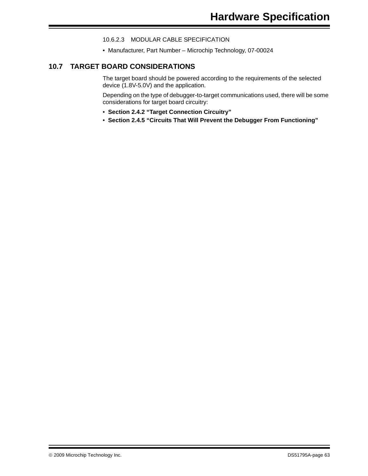#### 10.6.2.3 MODULAR CABLE SPECIFICATION

• Manufacturer, Part Number – Microchip Technology, 07-00024

## <span id="page-66-0"></span>**10.7 TARGET BOARD CONSIDERATIONS**

The target board should be powered according to the requirements of the selected device (1.8V-5.0V) and the application.

Depending on the type of debugger-to-target communications used, there will be some considerations for target board circuitry:

- **[Section 2.4.2 "Target Connection Circuitry"](#page-20-0)**
- **[Section 2.4.5 "Circuits That Will Prevent the Debugger From Functioning"](#page-22-0)**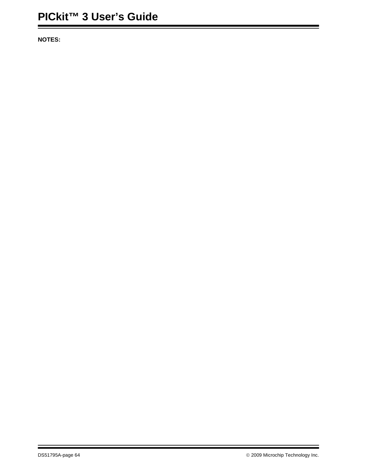**NOTES:**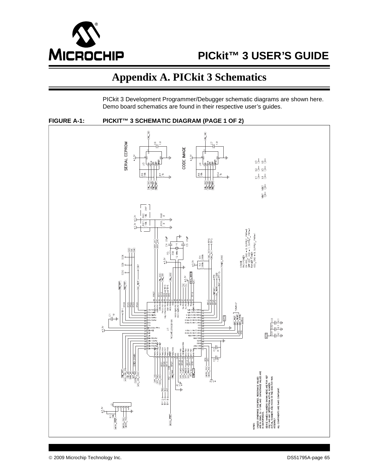

## **Appendix A. PICkit 3 Schematics**

PICkit 3 Development Programmer/Debugger schematic diagrams are shown here. Demo board schematics are found in their respective user's guides.

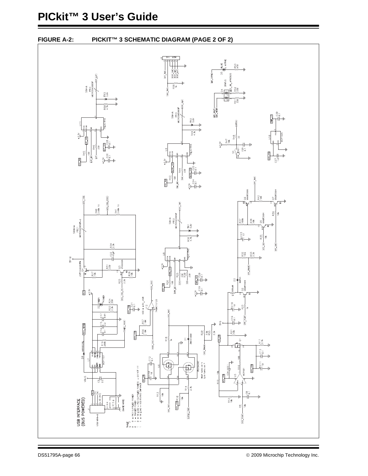## **FIGURE A-2: PICKIT™ 3 SCHEMATIC DIAGRAM (PAGE 2 OF 2)**

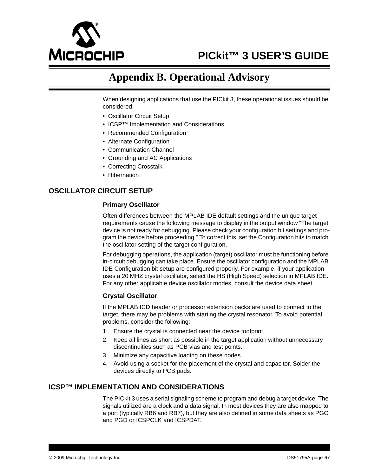

## **Appendix B. Operational Advisory**

When designing applications that use the PICkit 3, these operational issues should be considered:

- • [Oscillator Circuit Setup](#page-70-0)
- • [ICSP™ Implementation and Considerations](#page-70-1)
- • [Recommended Configuration](#page-71-0)
- • [Alternate Configuration](#page-71-2)
- • [Communication Channel](#page-71-1)
- • [Grounding and AC Applications](#page-72-0)
- • [Correcting Crosstalk](#page-73-1)
- • [Hibernation](#page-73-0)

## <span id="page-70-0"></span>**OSCILLATOR CIRCUIT SETUP**

## **Primary Oscillator**

Often differences between the MPLAB IDE default settings and the unique target requirements cause the following message to display in the output window "The target device is not ready for debugging. Please check your configuration bit settings and program the device before proceeding." To correct this, set the Configuration bits to match the oscillator setting of the target configuration.

For debugging operations, the application (target) oscillator must be functioning before in-circuit debugging can take place. Ensure the oscillator configuration and the MPLAB IDE Configuration bit setup are configured properly. For example, if your application uses a 20 MHZ crystal oscillator, select the HS (High Speed) selection in MPLAB IDE. For any other applicable device oscillator modes, consult the device data sheet.

## **Crystal Oscillator**

If the MPLAB ICD header or processor extension packs are used to connect to the target, there may be problems with starting the crystal resonator. To avoid potential problems, consider the following:

- 1. Ensure the crystal is connected near the device footprint.
- 2. Keep all lines as short as possible in the target application without unnecessary discontinuities such as PCB vias and test points.
- 3. Minimize any capacitive loading on these nodes.
- 4. Avoid using a socket for the placement of the crystal and capacitor. Solder the devices directly to PCB pads.

## <span id="page-70-1"></span>**ICSP™ IMPLEMENTATION AND CONSIDERATIONS**

The PICkit 3 uses a serial signaling scheme to program and debug a target device. The signals utilized are a clock and a data signal. In most devices they are also mapped to a port (typically RB6 and RB7), but they are also defined in some data sheets as PGC and PGD or ICSPCLK and ICSPDAT.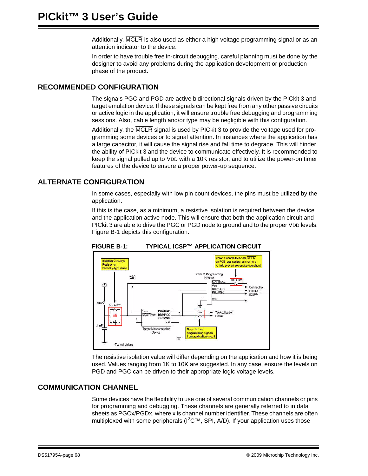Additionally, MCLR is also used as either a high voltage programming signal or as an attention indicator to the device.

In order to have trouble free in-circuit debugging, careful planning must be done by the designer to avoid any problems during the application development or production phase of the product.

## <span id="page-71-0"></span>**RECOMMENDED CONFIGURATION**

The signals PGC and PGD are active bidirectional signals driven by the PICkit 3 and target emulation device. If these signals can be kept free from any other passive circuits or active logic in the application, it will ensure trouble free debugging and programming sessions. Also, cable length and/or type may be negligible with this configuration.

Additionally, the MCLR signal is used by PICkit 3 to provide the voltage used for programming some devices or to signal attention. In instances where the application has a large capacitor, it will cause the signal rise and fall time to degrade. This will hinder the ability of PICkit 3 and the device to communicate effectively. It is recommended to keep the signal pulled up to VDD with a 10K resistor, and to utilize the power-on timer features of the device to ensure a proper power-up sequence.

## <span id="page-71-2"></span>**ALTERNATE CONFIGURATION**

In some cases, especially with low pin count devices, the pins must be utilized by the application.

If this is the case, as a minimum, a resistive isolation is required between the device and the application active node. This will ensure that both the application circuit and PICkit 3 are able to drive the PGC or PGD node to ground and to the proper VDD levels. [Figure B-1](#page-71-3) depicts this configuration.



<span id="page-71-3"></span>**FIGURE B-1: TYPICAL ICSP™ APPLICATION CIRCUIT**

The resistive isolation value will differ depending on the application and how it is being used. Values ranging from 1K to 10K are suggested. In any case, ensure the levels on PGD and PGC can be driven to their appropriate logic voltage levels.

## <span id="page-71-1"></span>**COMMUNICATION CHANNEL**

Some devices have the flexibility to use one of several communication channels or pins for programming and debugging. These channels are generally referred to in data sheets as PGCx/PGDx, where x is channel number identifier. These channels are often multiplexed with some peripherals ( $I^2C^{TM}$ , SPI, A/D). If your application uses those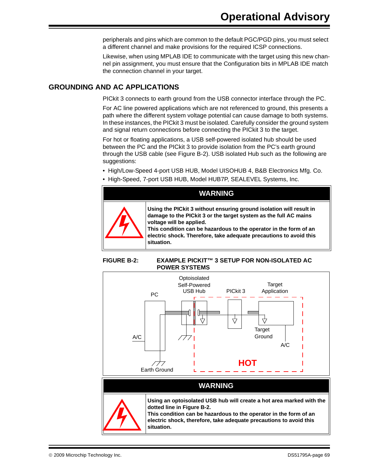peripherals and pins which are common to the default PGC/PGD pins, you must select a different channel and make provisions for the required ICSP connections.

Likewise, when using MPLAB IDE to communicate with the target using this new channel pin assignment, you must ensure that the Configuration bits in MPLAB IDE match the connection channel in your target.

## **GROUNDING AND AC APPLICATIONS**

PICkit 3 connects to earth ground from the USB connector interface through the PC.

For AC line powered applications which are not referenced to ground, this presents a path where the different system voltage potential can cause damage to both systems. In these instances, the PICkit 3 must be isolated. Carefully consider the ground system and signal return connections before connecting the PICkit 3 to the target.

For hot or floating applications, a USB self-powered isolated hub should be used between the PC and the PICkit 3 to provide isolation from the PC's earth ground through the USB cable (see [Figure B-2](#page-72-0)). USB isolated Hub such as the following are suggestions:

- High/Low-Speed 4-port USB HUB, Model UISOHUB 4, B&B Electronics Mfg. Co.
- High-Speed, 7-port USB HUB, Model HUB7P, SEALEVEL Systems, Inc.



<span id="page-72-0"></span>



**Using an optoisolated USB hub will create a hot area marked with the dotted line in [Figure B-2](#page-72-0).**

**This condition can be hazardous to the operator in the form of an electric shock, therefore, take adequate precautions to avoid this situation.**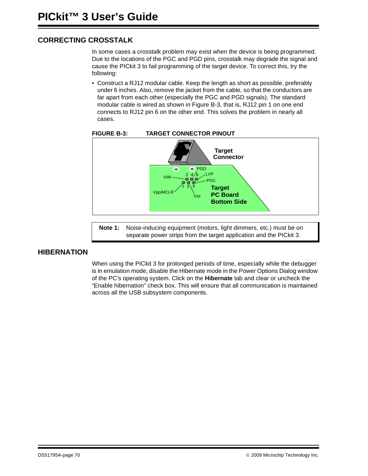# **CORRECTING CROSSTALK**

In some cases a crosstalk problem may exist when the device is being programmed. Due to the locations of the PGC and PGD pins, crosstalk may degrade the signal and cause the PICkit 3 to fail programming of the target device. To correct this, try the following:

• Construct a RJ12 modular cable. Keep the length as short as possible, preferably under 6 inches. Also, remove the jacket from the cable, so that the conductors are far apart from each other (especially the PGC and PGD signals). The standard modular cable is wired as shown in [Figure B-3](#page-73-0), that is, RJ12 pin 1 on one end connects to RJ12 pin 6 on the other end. This solves the problem in nearly all cases.

<span id="page-73-0"></span>

**Note 1:** Noise-inducing equipment (motors, light dimmers, etc.) must be on separate power strips from the target application and the PICkit 3.

# **HIBERNATION**

When using the PICkit 3 for prolonged periods of time, especially while the debugger is in emulation mode, disable the Hibernate mode in the Power Options Dialog window of the PC's operating system. Click on the **Hibernate** tab and clear or uncheck the "Enable hibernation" check box. This will ensure that all communication is maintained across all the USB subsystem components.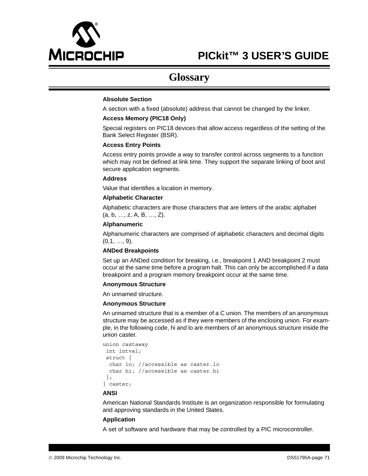

# **PICkit™ 3 USER'S GUIDE**

# **Glossary**

#### **Absolute Section**

A section with a fixed (absolute) address that cannot be changed by the linker.

## **Access Memory (PIC18 Only)**

Special registers on PIC18 devices that allow access regardless of the setting of the Bank Select Register (BSR).

#### **Access Entry Points**

Access entry points provide a way to transfer control across segments to a function which may not be defined at link time. They support the separate linking of boot and secure application segments.

#### **Address**

Value that identifies a location in memory.

#### **Alphabetic Character**

Alphabetic characters are those characters that are letters of the arabic alphabet (a, b, …, z, A, B, …, Z).

## **Alphanumeric**

Alphanumeric characters are comprised of alphabetic characters and decimal digits  $(0,1, \ldots, 9)$ .

## **ANDed Breakpoints**

Set up an ANDed condition for breaking, i.e., breakpoint 1 AND breakpoint 2 must occur at the same time before a program halt. This can only be accomplished if a data breakpoint and a program memory breakpoint occur at the same time.

## **Anonymous Structure**

An unnamed structure.

#### **Anonymous Structure**

An unnamed structure that is a member of a C union. The members of an anonymous structure may be accessed as if they were members of the enclosing union. For example, in the following code, hi and lo are members of an anonymous structure inside the union caster.

```
union castaway
 int intval;
  struct {
   char lo; //accessible as caster.lo
   char hi; //accessible as caster.hi
  };
} caster;
```
## **ANSI**

American National Standards Institute is an organization responsible for formulating and approving standards in the United States.

## **Application**

A set of software and hardware that may be controlled by a PIC microcontroller.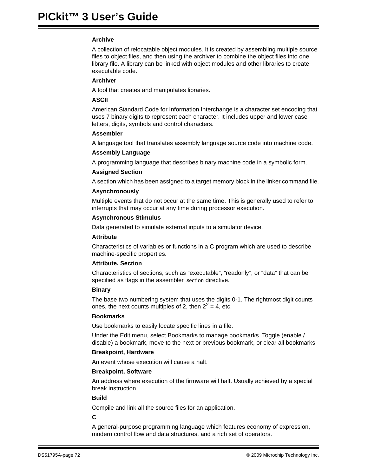## **Archive**

A collection of relocatable object modules. It is created by assembling multiple source files to object files, and then using the archiver to combine the object files into one library file. A library can be linked with object modules and other libraries to create executable code.

## **Archiver**

A tool that creates and manipulates libraries.

## **ASCII**

American Standard Code for Information Interchange is a character set encoding that uses 7 binary digits to represent each character. It includes upper and lower case letters, digits, symbols and control characters.

## **Assembler**

A language tool that translates assembly language source code into machine code.

#### **Assembly Language**

A programming language that describes binary machine code in a symbolic form.

## **Assigned Section**

A section which has been assigned to a target memory block in the linker command file.

#### **Asynchronously**

Multiple events that do not occur at the same time. This is generally used to refer to interrupts that may occur at any time during processor execution.

## **Asynchronous Stimulus**

Data generated to simulate external inputs to a simulator device.

#### **Attribute**

Characteristics of variables or functions in a C program which are used to describe machine-specific properties.

#### **Attribute, Section**

Characteristics of sections, such as "executable", "readonly", or "data" that can be specified as flags in the assembler .section directive.

#### **Binary**

The base two numbering system that uses the digits 0-1. The rightmost digit counts ones, the next counts multiples of 2, then  $2^2 = 4$ , etc.

#### **Bookmarks**

Use bookmarks to easily locate specific lines in a file.

Under the Edit menu, select Bookmarks to manage bookmarks. Toggle (enable / disable) a bookmark, move to the next or previous bookmark, or clear all bookmarks.

## **Breakpoint, Hardware**

An event whose execution will cause a halt.

## **Breakpoint, Software**

An address where execution of the firmware will halt. Usually achieved by a special break instruction.

## **Build**

Compile and link all the source files for an application.

## **C**

A general-purpose programming language which features economy of expression, modern control flow and data structures, and a rich set of operators.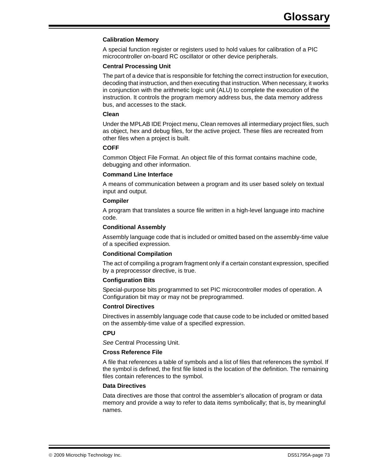## **Calibration Memory**

A special function register or registers used to hold values for calibration of a PIC microcontroller on-board RC oscillator or other device peripherals.

## **Central Processing Unit**

The part of a device that is responsible for fetching the correct instruction for execution, decoding that instruction, and then executing that instruction. When necessary, it works in conjunction with the arithmetic logic unit (ALU) to complete the execution of the instruction. It controls the program memory address bus, the data memory address bus, and accesses to the stack.

## **Clean**

Under the MPLAB IDE Project menu, Clean removes all intermediary project files, such as object, hex and debug files, for the active project. These files are recreated from other files when a project is built.

## **COFF**

Common Object File Format. An object file of this format contains machine code, debugging and other information.

#### **Command Line Interface**

A means of communication between a program and its user based solely on textual input and output.

#### **Compiler**

A program that translates a source file written in a high-level language into machine code.

## **Conditional Assembly**

Assembly language code that is included or omitted based on the assembly-time value of a specified expression.

## **Conditional Compilation**

The act of compiling a program fragment only if a certain constant expression, specified by a preprocessor directive, is true.

## **Configuration Bits**

Special-purpose bits programmed to set PIC microcontroller modes of operation. A Configuration bit may or may not be preprogrammed.

#### **Control Directives**

Directives in assembly language code that cause code to be included or omitted based on the assembly-time value of a specified expression.

## **CPU**

*See* Central Processing Unit.

## **Cross Reference File**

A file that references a table of symbols and a list of files that references the symbol. If the symbol is defined, the first file listed is the location of the definition. The remaining files contain references to the symbol.

## **Data Directives**

Data directives are those that control the assembler's allocation of program or data memory and provide a way to refer to data items symbolically; that is, by meaningful names.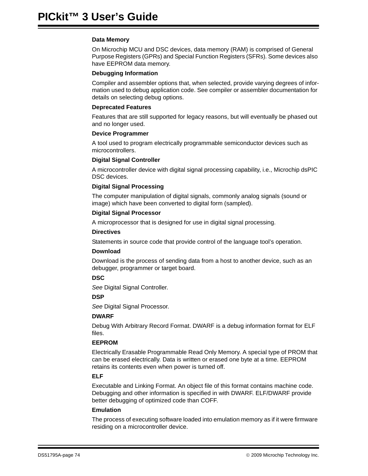#### **Data Memory**

On Microchip MCU and DSC devices, data memory (RAM) is comprised of General Purpose Registers (GPRs) and Special Function Registers (SFRs). Some devices also have EEPROM data memory.

#### **Debugging Information**

Compiler and assembler options that, when selected, provide varying degrees of information used to debug application code. See compiler or assembler documentation for details on selecting debug options.

#### **Deprecated Features**

Features that are still supported for legacy reasons, but will eventually be phased out and no longer used.

#### **Device Programmer**

A tool used to program electrically programmable semiconductor devices such as microcontrollers.

## **Digital Signal Controller**

A microcontroller device with digital signal processing capability, i.e., Microchip dsPIC DSC devices.

## **Digital Signal Processing**

The computer manipulation of digital signals, commonly analog signals (sound or image) which have been converted to digital form (sampled).

#### **Digital Signal Processor**

A microprocessor that is designed for use in digital signal processing.

#### **Directives**

Statements in source code that provide control of the language tool's operation.

#### **Download**

Download is the process of sending data from a host to another device, such as an debugger, programmer or target board.

## **DSC**

*See* Digital Signal Controller.

## **DSP**

*See* Digital Signal Processor.

## **DWARF**

Debug With Arbitrary Record Format. DWARF is a debug information format for ELF files.

## **EEPROM**

Electrically Erasable Programmable Read Only Memory. A special type of PROM that can be erased electrically. Data is written or erased one byte at a time. EEPROM retains its contents even when power is turned off.

## **ELF**

Executable and Linking Format. An object file of this format contains machine code. Debugging and other information is specified in with DWARF. ELF/DWARF provide better debugging of optimized code than COFF.

## **Emulation**

The process of executing software loaded into emulation memory as if it were firmware residing on a microcontroller device.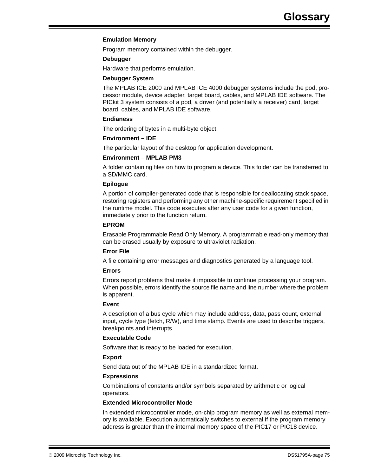#### **Emulation Memory**

Program memory contained within the debugger.

#### **Debugger**

Hardware that performs emulation.

#### **Debugger System**

The MPLAB ICE 2000 and MPLAB ICE 4000 debugger systems include the pod, processor module, device adapter, target board, cables, and MPLAB IDE software. The PICkit 3 system consists of a pod, a driver (and potentially a receiver) card, target board, cables, and MPLAB IDE software.

#### **Endianess**

The ordering of bytes in a multi-byte object.

## **Environment – IDE**

The particular layout of the desktop for application development.

#### **Environment – MPLAB PM3**

A folder containing files on how to program a device. This folder can be transferred to a SD/MMC card.

#### **Epilogue**

A portion of compiler-generated code that is responsible for deallocating stack space, restoring registers and performing any other machine-specific requirement specified in the runtime model. This code executes after any user code for a given function, immediately prior to the function return.

#### **EPROM**

Erasable Programmable Read Only Memory. A programmable read-only memory that can be erased usually by exposure to ultraviolet radiation.

## **Error File**

A file containing error messages and diagnostics generated by a language tool.

## **Errors**

Errors report problems that make it impossible to continue processing your program. When possible, errors identify the source file name and line number where the problem is apparent.

## **Event**

A description of a bus cycle which may include address, data, pass count, external input, cycle type (fetch, R/W), and time stamp. Events are used to describe triggers, breakpoints and interrupts.

#### **Executable Code**

Software that is ready to be loaded for execution.

## **Export**

Send data out of the MPLAB IDE in a standardized format.

## **Expressions**

Combinations of constants and/or symbols separated by arithmetic or logical operators.

## **Extended Microcontroller Mode**

In extended microcontroller mode, on-chip program memory as well as external memory is available. Execution automatically switches to external if the program memory address is greater than the internal memory space of the PIC17 or PIC18 device.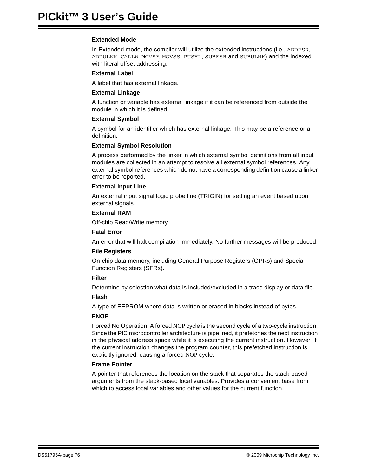#### **Extended Mode**

In Extended mode, the compiler will utilize the extended instructions (i.e., ADDFSR, ADDULNK, CALLW, MOVSF, MOVSS, PUSHL, SUBFSR and SUBULNK) and the indexed with literal offset addressing.

#### **External Label**

A label that has external linkage.

#### **External Linkage**

A function or variable has external linkage if it can be referenced from outside the module in which it is defined.

## **External Symbol**

A symbol for an identifier which has external linkage. This may be a reference or a definition.

#### **External Symbol Resolution**

A process performed by the linker in which external symbol definitions from all input modules are collected in an attempt to resolve all external symbol references. Any external symbol references which do not have a corresponding definition cause a linker error to be reported.

#### **External Input Line**

An external input signal logic probe line (TRIGIN) for setting an event based upon external signals.

## **External RAM**

Off-chip Read/Write memory.

#### **Fatal Error**

An error that will halt compilation immediately. No further messages will be produced.

#### **File Registers**

On-chip data memory, including General Purpose Registers (GPRs) and Special Function Registers (SFRs).

## **Filter**

Determine by selection what data is included/excluded in a trace display or data file.

#### **Flash**

A type of EEPROM where data is written or erased in blocks instead of bytes.

## **FNOP**

Forced No Operation. A forced NOP cycle is the second cycle of a two-cycle instruction. Since the PIC microcontroller architecture is pipelined, it prefetches the next instruction in the physical address space while it is executing the current instruction. However, if the current instruction changes the program counter, this prefetched instruction is explicitly ignored, causing a forced NOP cycle.

#### **Frame Pointer**

A pointer that references the location on the stack that separates the stack-based arguments from the stack-based local variables. Provides a convenient base from which to access local variables and other values for the current function.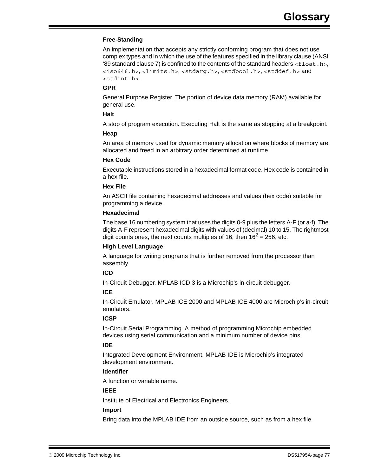## **Free-Standing**

An implementation that accepts any strictly conforming program that does not use complex types and in which the use of the features specified in the library clause (ANSI '89 standard clause 7) is confined to the contents of the standard headers  $\langle$  float.h>, <iso646.h>, <limits.h>, <stdarg.h>, <stdbool.h>, <stddef.h> and <stdint.h>.

## **GPR**

General Purpose Register. The portion of device data memory (RAM) available for general use.

#### **Halt**

A stop of program execution. Executing Halt is the same as stopping at a breakpoint.

#### **Heap**

An area of memory used for dynamic memory allocation where blocks of memory are allocated and freed in an arbitrary order determined at runtime.

#### **Hex Code**

Executable instructions stored in a hexadecimal format code. Hex code is contained in a hex file.

#### **Hex File**

An ASCII file containing hexadecimal addresses and values (hex code) suitable for programming a device.

## **Hexadecimal**

The base 16 numbering system that uses the digits 0-9 plus the letters A-F (or a-f). The digits A-F represent hexadecimal digits with values of (decimal) 10 to 15. The rightmost digit counts ones, the next counts multiples of 16, then  $16^2 = 256$ , etc.

## **High Level Language**

A language for writing programs that is further removed from the processor than assembly.

## **ICD**

In-Circuit Debugger. MPLAB ICD 3 is a Microchip's in-circuit debugger.

## **ICE**

In-Circuit Emulator. MPLAB ICE 2000 and MPLAB ICE 4000 are Microchip's in-circuit emulators.

## **ICSP**

In-Circuit Serial Programming. A method of programming Microchip embedded devices using serial communication and a minimum number of device pins.

## **IDE**

Integrated Development Environment. MPLAB IDE is Microchip's integrated development environment.

## **Identifier**

A function or variable name.

## **IEEE**

Institute of Electrical and Electronics Engineers.

## **Import**

Bring data into the MPLAB IDE from an outside source, such as from a hex file.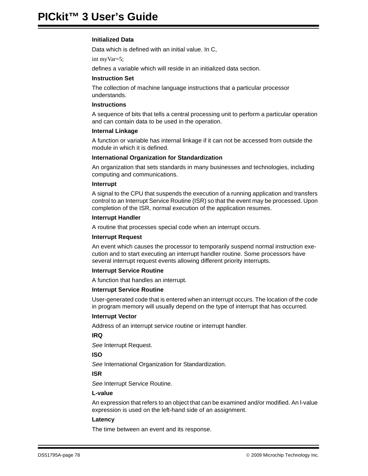## **Initialized Data**

Data which is defined with an initial value. In C,

int myVar=5;

defines a variable which will reside in an initialized data section.

#### **Instruction Set**

The collection of machine language instructions that a particular processor understands.

#### **Instructions**

A sequence of bits that tells a central processing unit to perform a particular operation and can contain data to be used in the operation.

#### **Internal Linkage**

A function or variable has internal linkage if it can not be accessed from outside the module in which it is defined.

#### **International Organization for Standardization**

An organization that sets standards in many businesses and technologies, including computing and communications.

#### **Interrupt**

A signal to the CPU that suspends the execution of a running application and transfers control to an Interrupt Service Routine (ISR) so that the event may be processed. Upon completion of the ISR, normal execution of the application resumes.

## **Interrupt Handler**

A routine that processes special code when an interrupt occurs.

#### **Interrupt Request**

An event which causes the processor to temporarily suspend normal instruction execution and to start executing an interrupt handler routine. Some processors have several interrupt request events allowing different priority interrupts.

#### **Interrupt Service Routine**

A function that handles an interrupt.

#### **Interrupt Service Routine**

User-generated code that is entered when an interrupt occurs. The location of the code in program memory will usually depend on the type of interrupt that has occurred.

#### **Interrupt Vector**

Address of an interrupt service routine or interrupt handler.

# **IRQ**

*See* Interrupt Request.

#### **ISO**

*See* International Organization for Standardization.

#### **ISR**

*See* Interrupt Service Routine.

## **L-value**

An expression that refers to an object that can be examined and/or modified. An l-value expression is used on the left-hand side of an assignment.

#### **Latency**

The time between an event and its response.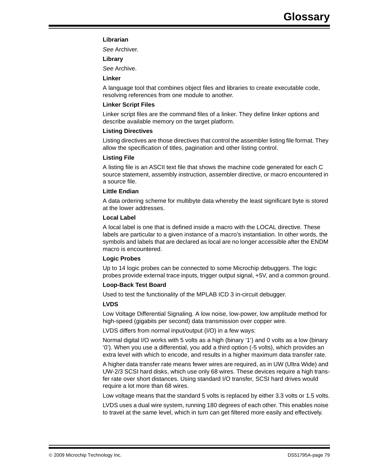## **Librarian**

*See* Archiver.

## **Library**

*See* Archive.

## **Linker**

A language tool that combines object files and libraries to create executable code, resolving references from one module to another.

## **Linker Script Files**

Linker script files are the command files of a linker. They define linker options and describe available memory on the target platform.

## **Listing Directives**

Listing directives are those directives that control the assembler listing file format. They allow the specification of titles, pagination and other listing control.

## **Listing File**

A listing file is an ASCII text file that shows the machine code generated for each C source statement, assembly instruction, assembler directive, or macro encountered in a source file.

## **Little Endian**

A data ordering scheme for multibyte data whereby the least significant byte is stored at the lower addresses.

## **Local Label**

A local label is one that is defined inside a macro with the LOCAL directive. These labels are particular to a given instance of a macro's instantiation. In other words, the symbols and labels that are declared as local are no longer accessible after the ENDM macro is encountered.

## **Logic Probes**

Up to 14 logic probes can be connected to some Microchip debuggers. The logic probes provide external trace inputs, trigger output signal, +5V, and a common ground.

## **Loop-Back Test Board**

Used to test the functionality of the MPLAB ICD 3 in-circuit debugger.

## **LVDS**

Low Voltage Differential Signaling. A low noise, low-power, low amplitude method for high-speed (gigabits per second) data transmission over copper wire.

LVDS differs from normal input/output (I/O) in a few ways:

Normal digital I/O works with 5 volts as a high (binary '1') and 0 volts as a low (binary '0'). When you use a differential, you add a third option (-5 volts), which provides an extra level with which to encode, and results in a higher maximum data transfer rate.

A higher data transfer rate means fewer wires are required, as in UW (Ultra Wide) and UW-2/3 SCSI hard disks, which use only 68 wires. These devices require a high transfer rate over short distances. Using standard I/O transfer, SCSI hard drives would require a lot more than 68 wires.

Low voltage means that the standard 5 volts is replaced by either 3.3 volts or 1.5 volts.

LVDS uses a dual wire system, running 180 degrees of each other. This enables noise to travel at the same level, which in turn can get filtered more easily and effectively.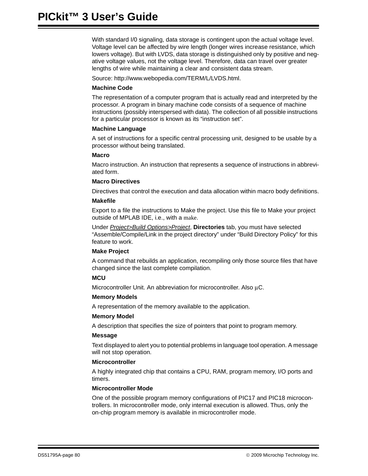With standard I/0 signaling, data storage is contingent upon the actual voltage level. Voltage level can be affected by wire length (longer wires increase resistance, which lowers voltage). But with LVDS, data storage is distinguished only by positive and negative voltage values, not the voltage level. Therefore, data can travel over greater lengths of wire while maintaining a clear and consistent data stream.

Source:<http://www.webopedia.com/TERM/L/LVDS.html>.

## **Machine Code**

The representation of a computer program that is actually read and interpreted by the processor. A program in binary machine code consists of a sequence of machine instructions (possibly interspersed with data). The collection of all possible instructions for a particular processor is known as its "instruction set".

## **Machine Language**

A set of instructions for a specific central processing unit, designed to be usable by a processor without being translated.

## **Macro**

Macro instruction. An instruction that represents a sequence of instructions in abbreviated form.

## **Macro Directives**

Directives that control the execution and data allocation within macro body definitions.

## **Makefile**

Export to a file the instructions to Make the project. Use this file to Make your project outside of MPLAB IDE, i.e., with a make.

Under *Project>Build Options>Project*, **Directories** tab, you must have selected "Assemble/Compile/Link in the project directory" under "Build Directory Policy" for this feature to work.

## **Make Project**

A command that rebuilds an application, recompiling only those source files that have changed since the last complete compilation.

## **MCU**

Microcontroller Unit. An abbreviation for microcontroller. Also μC.

## **Memory Models**

A representation of the memory available to the application.

## **Memory Model**

A description that specifies the size of pointers that point to program memory.

## **Message**

Text displayed to alert you to potential problems in language tool operation. A message will not stop operation.

## **Microcontroller**

A highly integrated chip that contains a CPU, RAM, program memory, I/O ports and timers.

## **Microcontroller Mode**

One of the possible program memory configurations of PIC17 and PIC18 microcontrollers. In microcontroller mode, only internal execution is allowed. Thus, only the on-chip program memory is available in microcontroller mode.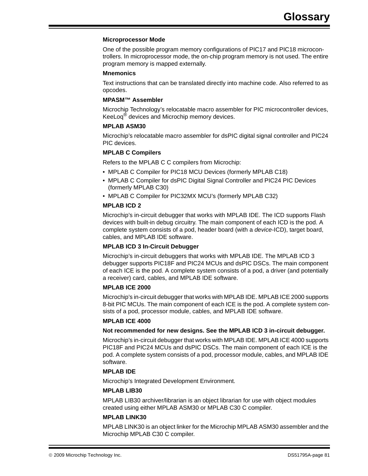## **Microprocessor Mode**

One of the possible program memory configurations of PIC17 and PIC18 microcontrollers. In microprocessor mode, the on-chip program memory is not used. The entire program memory is mapped externally.

## **Mnemonics**

Text instructions that can be translated directly into machine code. Also referred to as opcodes.

## **MPASM™ Assembler**

Microchip Technology's relocatable macro assembler for PIC microcontroller devices, KeeLoq® devices and Microchip memory devices.

#### **MPLAB ASM30**

Microchip's relocatable macro assembler for dsPIC digital signal controller and PIC24 PIC devices.

## **MPLAB C Compilers**

Refers to the MPLAB C C compilers from Microchip:

- MPLAB C Compiler for PIC18 MCU Devices (formerly MPLAB C18)
- MPLAB C Compiler for dsPIC Digital Signal Controller and PIC24 PIC Devices (formerly MPLAB C30)
- MPLAB C Compiler for PIC32MX MCU's (formerly MPLAB C32)

#### **MPLAB ICD 2**

Microchip's in-circuit debugger that works with MPLAB IDE. The ICD supports Flash devices with built-in debug circuitry. The main component of each ICD is the pod. A complete system consists of a pod, header board (with a *device*-ICD), target board, cables, and MPLAB IDE software.

## **MPLAB ICD 3 In-Circuit Debugger**

Microchip's in-circuit debuggers that works with MPLAB IDE. The MPLAB ICD 3 debugger supports PIC18F and PIC24 MCUs and dsPIC DSCs. The main component of each ICE is the pod. A complete system consists of a pod, a driver (and potentially a receiver) card, cables, and MPLAB IDE software.

#### **MPLAB ICE 2000**

Microchip's in-circuit debugger that works with MPLAB IDE. MPLAB ICE 2000 supports 8-bit PIC MCUs. The main component of each ICE is the pod. A complete system consists of a pod, processor module, cables, and MPLAB IDE software.

#### **MPLAB ICE 4000**

#### **Not recommended for new designs. See the MPLAB ICD 3 in-circuit debugger.**

Microchip's in-circuit debugger that works with MPLAB IDE. MPLAB ICE 4000 supports PIC18F and PIC24 MCUs and dsPIC DSCs. The main component of each ICE is the pod. A complete system consists of a pod, processor module, cables, and MPLAB IDE software.

## **MPLAB IDE**

Microchip's Integrated Development Environment.

## **MPLAB LIB30**

MPLAB LIB30 archiver/librarian is an object librarian for use with object modules created using either MPLAB ASM30 or MPLAB C30 C compiler.

## **MPLAB LINK30**

MPLAB LINK30 is an object linker for the Microchip MPLAB ASM30 assembler and the Microchip MPLAB C30 C compiler.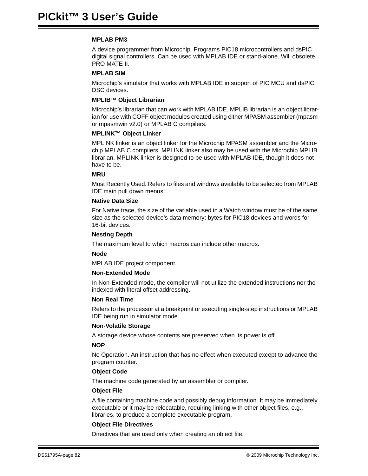## **MPLAB PM3**

A device programmer from Microchip. Programs PIC18 microcontrollers and dsPIC digital signal controllers. Can be used with MPLAB IDE or stand-alone. Will obsolete PRO MATE II.

## **MPLAB SIM**

Microchip's simulator that works with MPLAB IDE in support of PIC MCU and dsPIC DSC devices.

## **MPLIB™ Object Librarian**

Microchip's librarian that can work with MPLAB IDE. MPLIB librarian is an object librarian for use with COFF object modules created using either MPASM assembler (mpasm or mpasmwin v2.0) or MPLAB C compilers.

## **MPLINK™ Object Linker**

MPLINK linker is an object linker for the Microchip MPASM assembler and the Microchip MPLAB C compilers. MPLINK linker also may be used with the Microchip MPLIB librarian. MPLINK linker is designed to be used with MPLAB IDE, though it does not have to be.

#### **MRU**

Most Recently Used. Refers to files and windows available to be selected from MPLAB IDE main pull down menus.

## **Native Data Size**

For Native trace, the size of the variable used in a Watch window must be of the same size as the selected device's data memory: bytes for PIC18 devices and words for 16-bit devices.

#### **Nesting Depth**

The maximum level to which macros can include other macros.

## **Node**

MPLAB IDE project component.

## **Non-Extended Mode**

In Non-Extended mode, the compiler will not utilize the extended instructions nor the indexed with literal offset addressing.

#### **Non Real Time**

Refers to the processor at a breakpoint or executing single-step instructions or MPLAB IDE being run in simulator mode.

## **Non-Volatile Storage**

A storage device whose contents are preserved when its power is off.

## **NOP**

No Operation. An instruction that has no effect when executed except to advance the program counter.

## **Object Code**

The machine code generated by an assembler or compiler.

#### **Object File**

A file containing machine code and possibly debug information. It may be immediately executable or it may be relocatable, requiring linking with other object files, e.g., libraries, to produce a complete executable program.

#### **Object File Directives**

Directives that are used only when creating an object file.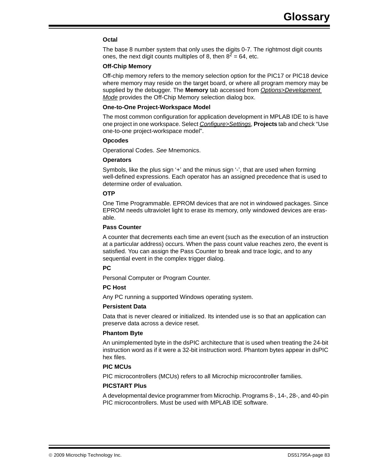## **Octal**

The base 8 number system that only uses the digits 0-7. The rightmost digit counts ones, the next digit counts multiples of 8, then  $8^2 = 64$ , etc.

#### **Off-Chip Memory**

Off-chip memory refers to the memory selection option for the PIC17 or PIC18 device where memory may reside on the target board, or where all program memory may be supplied by the debugger. The **Memory** tab accessed from *Options>Development Mode* provides the Off-Chip Memory selection dialog box.

#### **One-to-One Project-Workspace Model**

The most common configuration for application development in MPLAB IDE to is have one project in one workspace. Select *Configure>Settings*, **Projects** tab and check "Use one-to-one project-workspace model".

#### **Opcodes**

Operational Codes. *See* Mnemonics.

#### **Operators**

Symbols, like the plus sign '+' and the minus sign '-', that are used when forming well-defined expressions. Each operator has an assigned precedence that is used to determine order of evaluation.

## **OTP**

One Time Programmable. EPROM devices that are not in windowed packages. Since EPROM needs ultraviolet light to erase its memory, only windowed devices are erasable.

#### **Pass Counter**

A counter that decrements each time an event (such as the execution of an instruction at a particular address) occurs. When the pass count value reaches zero, the event is satisfied. You can assign the Pass Counter to break and trace logic, and to any sequential event in the complex trigger dialog.

## **PC**

Personal Computer or Program Counter.

#### **PC Host**

Any PC running a supported Windows operating system.

## **Persistent Data**

Data that is never cleared or initialized. Its intended use is so that an application can preserve data across a device reset.

#### **Phantom Byte**

An unimplemented byte in the dsPIC architecture that is used when treating the 24-bit instruction word as if it were a 32-bit instruction word. Phantom bytes appear in dsPIC hex files.

## **PIC MCUs**

PIC microcontrollers (MCUs) refers to all Microchip microcontroller families.

## **PICSTART Plus**

A developmental device programmer from Microchip. Programs 8-, 14-, 28-, and 40-pin PIC microcontrollers. Must be used with MPLAB IDE software.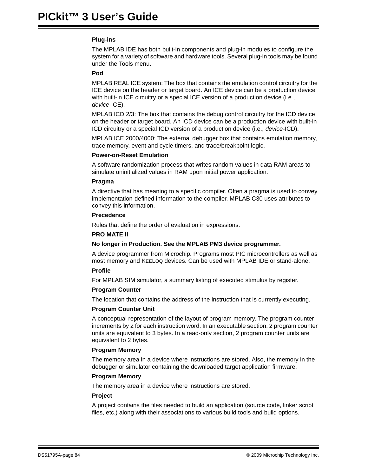## **Plug-ins**

The MPLAB IDE has both built-in components and plug-in modules to configure the system for a variety of software and hardware tools. Several plug-in tools may be found under the Tools menu.

#### **Pod**

MPLAB REAL ICE system: The box that contains the emulation control circuitry for the ICE device on the header or target board. An ICE device can be a production device with built-in ICE circuitry or a special ICE version of a production device (i.e., *device*-ICE).

MPLAB ICD 2/3: The box that contains the debug control circuitry for the ICD device on the header or target board. An ICD device can be a production device with built-in ICD circuitry or a special ICD version of a production device (i.e., *device*-ICD).

MPLAB ICE 2000/4000: The external debugger box that contains emulation memory, trace memory, event and cycle timers, and trace/breakpoint logic.

#### **Power-on-Reset Emulation**

A software randomization process that writes random values in data RAM areas to simulate uninitialized values in RAM upon initial power application.

#### **Pragma**

A directive that has meaning to a specific compiler. Often a pragma is used to convey implementation-defined information to the compiler. MPLAB C30 uses attributes to convey this information.

#### **Precedence**

Rules that define the order of evaluation in expressions.

#### **PRO MATE II**

## **No longer in Production. See the MPLAB PM3 device programmer.**

A device programmer from Microchip. Programs most PIC microcontrollers as well as most memory and KEELOQ devices. Can be used with MPLAB IDE or stand-alone.

#### **Profile**

For MPLAB SIM simulator, a summary listing of executed stimulus by register.

#### **Program Counter**

The location that contains the address of the instruction that is currently executing.

## **Program Counter Unit**

A conceptual representation of the layout of program memory. The program counter increments by 2 for each instruction word. In an executable section, 2 program counter units are equivalent to 3 bytes. In a read-only section, 2 program counter units are equivalent to 2 bytes.

#### **Program Memory**

The memory area in a device where instructions are stored. Also, the memory in the debugger or simulator containing the downloaded target application firmware.

## **Program Memory**

The memory area in a device where instructions are stored.

#### **Project**

A project contains the files needed to build an application (source code, linker script files, etc.) along with their associations to various build tools and build options.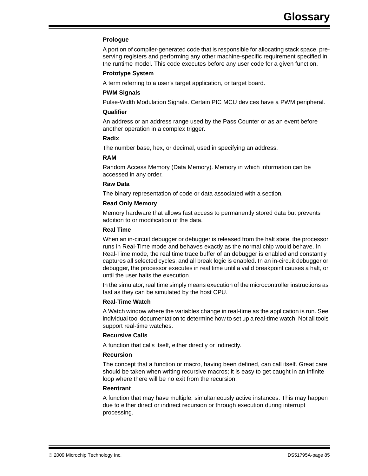## **Prologue**

A portion of compiler-generated code that is responsible for allocating stack space, preserving registers and performing any other machine-specific requirement specified in the runtime model. This code executes before any user code for a given function.

#### **Prototype System**

A term referring to a user's target application, or target board.

## **PWM Signals**

Pulse-Width Modulation Signals. Certain PIC MCU devices have a PWM peripheral.

#### **Qualifier**

An address or an address range used by the Pass Counter or as an event before another operation in a complex trigger.

## **Radix**

The number base, hex, or decimal, used in specifying an address.

#### **RAM**

Random Access Memory (Data Memory). Memory in which information can be accessed in any order.

#### **Raw Data**

The binary representation of code or data associated with a section.

#### **Read Only Memory**

Memory hardware that allows fast access to permanently stored data but prevents addition to or modification of the data.

#### **Real Time**

When an in-circuit debugger or debugger is released from the halt state, the processor runs in Real-Time mode and behaves exactly as the normal chip would behave. In Real-Time mode, the real time trace buffer of an debugger is enabled and constantly captures all selected cycles, and all break logic is enabled. In an in-circuit debugger or debugger, the processor executes in real time until a valid breakpoint causes a halt, or until the user halts the execution.

In the simulator, real time simply means execution of the microcontroller instructions as fast as they can be simulated by the host CPU.

#### **Real-Time Watch**

A Watch window where the variables change in real-time as the application is run. See individual tool documentation to determine how to set up a real-time watch. Not all tools support real-time watches.

## **Recursive Calls**

A function that calls itself, either directly or indirectly.

#### **Recursion**

The concept that a function or macro, having been defined, can call itself. Great care should be taken when writing recursive macros; it is easy to get caught in an infinite loop where there will be no exit from the recursion.

#### **Reentrant**

A function that may have multiple, simultaneously active instances. This may happen due to either direct or indirect recursion or through execution during interrupt processing.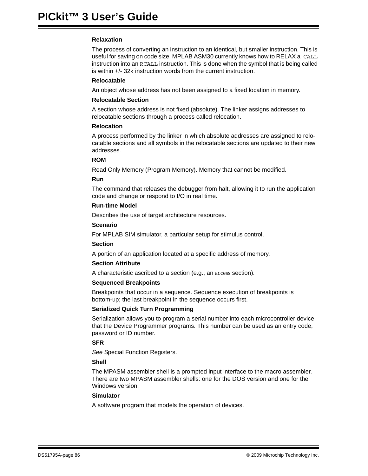#### **Relaxation**

The process of converting an instruction to an identical, but smaller instruction. This is useful for saving on code size. MPLAB ASM30 currently knows how to RELAX a CALL instruction into an RCALL instruction. This is done when the symbol that is being called is within +/- 32k instruction words from the current instruction.

#### **Relocatable**

An object whose address has not been assigned to a fixed location in memory.

## **Relocatable Section**

A section whose address is not fixed (absolute). The linker assigns addresses to relocatable sections through a process called relocation.

#### **Relocation**

A process performed by the linker in which absolute addresses are assigned to relocatable sections and all symbols in the relocatable sections are updated to their new addresses.

## **ROM**

Read Only Memory (Program Memory). Memory that cannot be modified.

#### **Run**

The command that releases the debugger from halt, allowing it to run the application code and change or respond to I/O in real time.

#### **Run-time Model**

Describes the use of target architecture resources.

#### **Scenario**

For MPLAB SIM simulator, a particular setup for stimulus control.

#### **Section**

A portion of an application located at a specific address of memory.

#### **Section Attribute**

A characteristic ascribed to a section (e.g., an access section).

#### **Sequenced Breakpoints**

Breakpoints that occur in a sequence. Sequence execution of breakpoints is bottom-up; the last breakpoint in the sequence occurs first.

#### **Serialized Quick Turn Programming**

Serialization allows you to program a serial number into each microcontroller device that the Device Programmer programs. This number can be used as an entry code, password or ID number.

#### **SFR**

*See* Special Function Registers.

#### **Shell**

The MPASM assembler shell is a prompted input interface to the macro assembler. There are two MPASM assembler shells: one for the DOS version and one for the Windows version.

#### **Simulator**

A software program that models the operation of devices.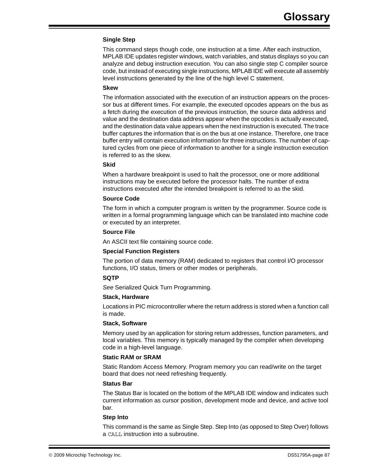## **Single Step**

This command steps though code, one instruction at a time. After each instruction, MPLAB IDE updates register windows, watch variables, and status displays so you can analyze and debug instruction execution. You can also single step C compiler source code, but instead of executing single instructions, MPLAB IDE will execute all assembly level instructions generated by the line of the high level C statement.

## **Skew**

The information associated with the execution of an instruction appears on the processor bus at different times. For example, the executed opcodes appears on the bus as a fetch during the execution of the previous instruction, the source data address and value and the destination data address appear when the opcodes is actually executed, and the destination data value appears when the next instruction is executed. The trace buffer captures the information that is on the bus at one instance. Therefore, one trace buffer entry will contain execution information for three instructions. The number of captured cycles from one piece of information to another for a single instruction execution is referred to as the skew.

#### **Skid**

When a hardware breakpoint is used to halt the processor, one or more additional instructions may be executed before the processor halts. The number of extra instructions executed after the intended breakpoint is referred to as the skid.

#### **Source Code**

The form in which a computer program is written by the programmer. Source code is written in a formal programming language which can be translated into machine code or executed by an interpreter.

#### **Source File**

An ASCII text file containing source code.

## **Special Function Registers**

The portion of data memory (RAM) dedicated to registers that control I/O processor functions, I/O status, timers or other modes or peripherals.

## **SQTP**

*See* Serialized Quick Turn Programming.

## **Stack, Hardware**

Locations in PIC microcontroller where the return address is stored when a function call is made.

#### **Stack, Software**

Memory used by an application for storing return addresses, function parameters, and local variables. This memory is typically managed by the compiler when developing code in a high-level language.

## **Static RAM or SRAM**

Static Random Access Memory. Program memory you can read/write on the target board that does not need refreshing frequently.

## **Status Bar**

The Status Bar is located on the bottom of the MPLAB IDE window and indicates such current information as cursor position, development mode and device, and active tool bar.

#### **Step Into**

This command is the same as Single Step. Step Into (as opposed to Step Over) follows a CALL instruction into a subroutine.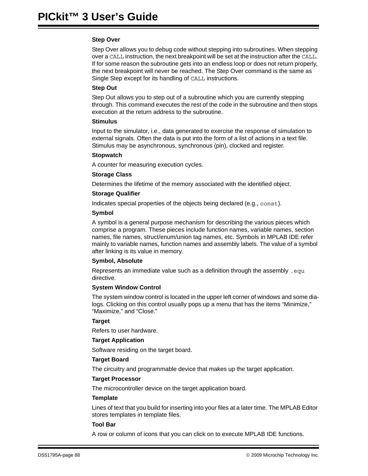## **Step Over**

Step Over allows you to debug code without stepping into subroutines. When stepping over a CALL instruction, the next breakpoint will be set at the instruction after the CALL. If for some reason the subroutine gets into an endless loop or does not return properly, the next breakpoint will never be reached. The Step Over command is the same as Single Step except for its handling of CALL instructions.

#### **Step Out**

Step Out allows you to step out of a subroutine which you are currently stepping through. This command executes the rest of the code in the subroutine and then stops execution at the return address to the subroutine.

#### **Stimulus**

Input to the simulator, i.e., data generated to exercise the response of simulation to external signals. Often the data is put into the form of a list of actions in a text file. Stimulus may be asynchronous, synchronous (pin), clocked and register.

#### **Stopwatch**

A counter for measuring execution cycles.

#### **Storage Class**

Determines the lifetime of the memory associated with the identified object.

#### **Storage Qualifier**

Indicates special properties of the objects being declared (e.g., const).

#### **Symbol**

A symbol is a general purpose mechanism for describing the various pieces which comprise a program. These pieces include function names, variable names, section names, file names, struct/enum/union tag names, etc. Symbols in MPLAB IDE refer mainly to variable names, function names and assembly labels. The value of a symbol after linking is its value in memory.

#### **Symbol, Absolute**

Represents an immediate value such as a definition through the assembly . equ directive.

## **System Window Control**

The system window control is located in the upper left corner of windows and some dialogs. Clicking on this control usually pops up a menu that has the items "Minimize," "Maximize," and "Close."

## **Target**

Refers to user hardware.

#### **Target Application**

Software residing on the target board.

#### **Target Board**

The circuitry and programmable device that makes up the target application.

#### **Target Processor**

The microcontroller device on the target application board.

#### **Template**

Lines of text that you build for inserting into your files at a later time. The MPLAB Editor stores templates in template files.

#### **Tool Bar**

A row or column of icons that you can click on to execute MPLAB IDE functions.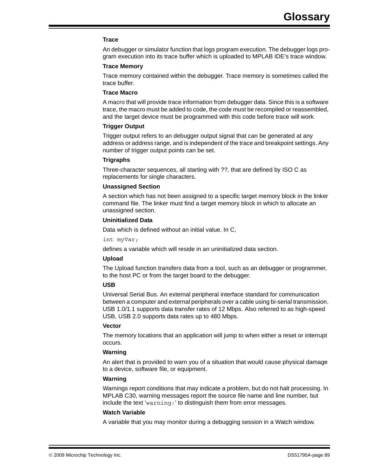## **Trace**

An debugger or simulator function that logs program execution. The debugger logs program execution into its trace buffer which is uploaded to MPLAB IDE's trace window.

## **Trace Memory**

Trace memory contained within the debugger. Trace memory is sometimes called the trace buffer.

## **Trace Macro**

A macro that will provide trace information from debugger data. Since this is a software trace, the macro must be added to code, the code must be recompiled or reassembled, and the target device must be programmed with this code before trace will work.

#### **Trigger Output**

Trigger output refers to an debugger output signal that can be generated at any address or address range, and is independent of the trace and breakpoint settings. Any number of trigger output points can be set.

#### **Trigraphs**

Three-character sequences, all starting with ??, that are defined by ISO C as replacements for single characters.

#### **Unassigned Section**

A section which has not been assigned to a specific target memory block in the linker command file. The linker must find a target memory block in which to allocate an unassigned section.

#### **Uninitialized Data**

Data which is defined without an initial value. In C,

int myVar;

defines a variable which will reside in an uninitialized data section.

#### **Upload**

The Upload function transfers data from a tool, such as an debugger or programmer, to the host PC or from the target board to the debugger.

## <span id="page-92-0"></span>**USB**

Universal Serial Bus. An external peripheral interface standard for communication between a computer and external peripherals over a cable using bi-serial transmission. USB 1.0/1.1 supports data transfer rates of 12 Mbps. Also referred to as high-speed USB, USB 2.0 supports data rates up to 480 Mbps.

## **Vector**

The memory locations that an application will jump to when either a reset or interrupt occurs.

#### **Warning**

An alert that is provided to warn you of a situation that would cause physical damage to a device, software file, or equipment.

## **Warning**

Warnings report conditions that may indicate a problem, but do not halt processing. In MPLAB C30, warning messages report the source file name and line number, but include the text 'warning:' to distinguish them from error messages.

#### **Watch Variable**

A variable that you may monitor during a debugging session in a Watch window.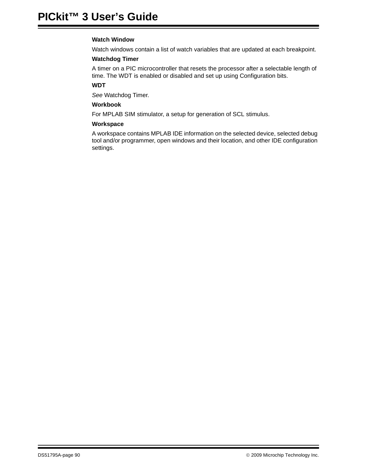## **Watch Window**

<span id="page-93-0"></span>Watch windows contain a list of watch variables that are updated at each breakpoint.

## **Watchdog Timer**

A timer on a PIC microcontroller that resets the processor after a selectable length of time. The WDT is enabled or disabled and set up using Configuration bits.

## **WDT**

*See* Watchdog Timer.

#### **Workbook**

For MPLAB SIM stimulator, a setup for generation of SCL stimulus.

## **Workspace**

A workspace contains MPLAB IDE information on the selected device, selected debug tool and/or programmer, open windows and their location, and other IDE configuration settings.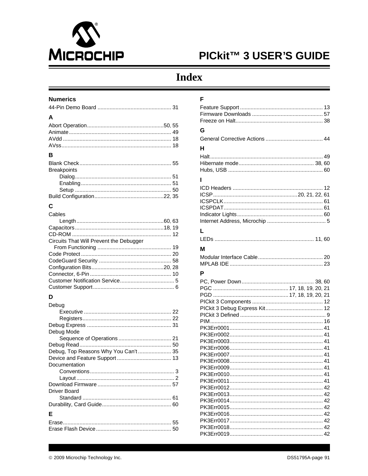

# PICkit™ 3 USER'S GUIDE

# **Index**

## **Numerics**

| A                                       |  |
|-----------------------------------------|--|
|                                         |  |
|                                         |  |
|                                         |  |
|                                         |  |
| в                                       |  |
|                                         |  |
| <b>Breakpoints</b>                      |  |
|                                         |  |
|                                         |  |
|                                         |  |
|                                         |  |
| C                                       |  |
| Cables                                  |  |
|                                         |  |
|                                         |  |
|                                         |  |
| Circuits That Will Prevent the Debugger |  |
|                                         |  |
|                                         |  |
|                                         |  |
|                                         |  |
|                                         |  |
|                                         |  |
|                                         |  |

## $\mathbf D$

| Debug                               |  |
|-------------------------------------|--|
|                                     |  |
|                                     |  |
|                                     |  |
| Debug Mode                          |  |
|                                     |  |
|                                     |  |
| Debug, Top Reasons Why You Can't 35 |  |
|                                     |  |
| Documentation                       |  |
|                                     |  |
|                                     |  |
|                                     |  |
| Driver Board                        |  |
|                                     |  |
|                                     |  |
| Е                                   |  |
|                                     |  |
|                                     |  |

## F

| G |  |
|---|--|
|   |  |
| н |  |
|   |  |
|   |  |
|   |  |
|   |  |
| ı |  |
|   |  |
|   |  |
|   |  |
|   |  |
|   |  |
|   |  |
|   |  |
| L |  |
|   |  |
| м |  |
|   |  |
|   |  |
|   |  |
| P |  |
|   |  |
|   |  |
|   |  |
|   |  |
|   |  |
|   |  |
|   |  |
|   |  |
|   |  |
|   |  |
|   |  |
|   |  |
|   |  |
|   |  |
|   |  |
|   |  |
|   |  |
|   |  |
|   |  |
|   |  |
|   |  |
|   |  |
|   |  |
|   |  |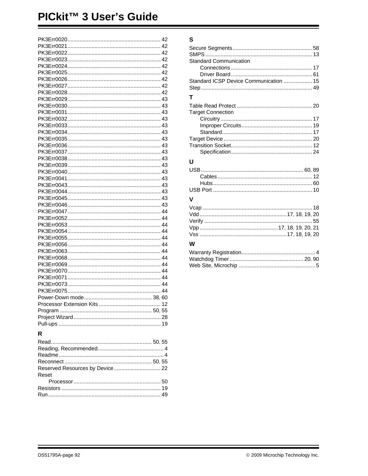| R |  |
|---|--|

| Reset |  |
|-------|--|
|       |  |
|       |  |
|       |  |

## $\mathbf{s}$

| <b>Standard Communication</b>          |  |
|----------------------------------------|--|
|                                        |  |
|                                        |  |
| Standard ICSP Device Communication  15 |  |
|                                        |  |
| т                                      |  |
|                                        |  |
| <b>Target Connection</b>               |  |
|                                        |  |
|                                        |  |
|                                        |  |
|                                        |  |
|                                        |  |
|                                        |  |
|                                        |  |

# $\cup$

# $\mathbf V$

# W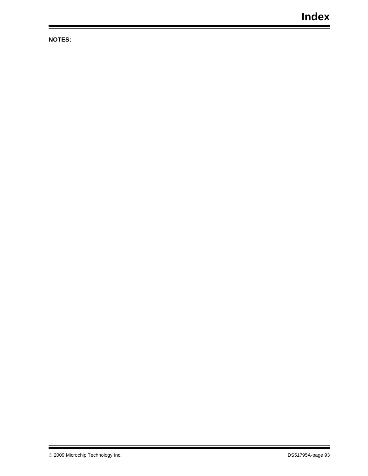**NOTES:**

e<br>B